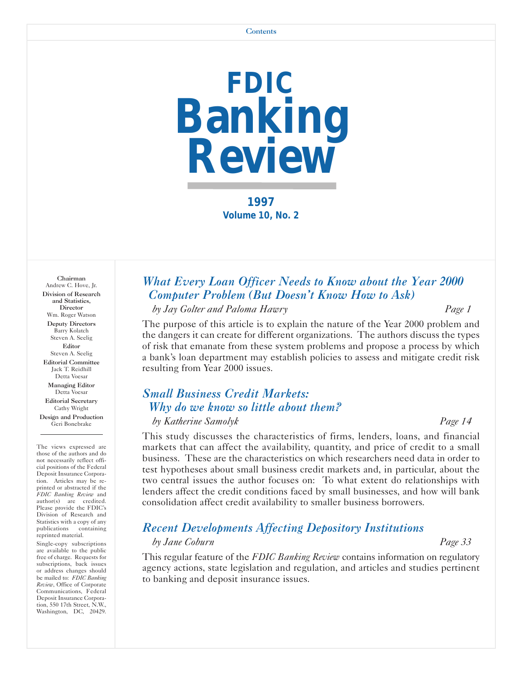

**1997 Volume 10, No. 2** 

Chairman Andrew C. Hove, Jr. Division of Research and Statistics, **Director** Wm. Roger Watson Deputy Directors Barry Kolatch Steven A. Seelig Editor Steven A. Seelig Editorial Committee Jack T. Reidhill Detta Voesar Managing Editor Detta Voesar Editorial Secretary Cathy Wright Design and Production Geri Bonebrake

The views expressed are those of the authors and do not necessarily reflect official positions of the Federal Deposit Insurance Corporation. Articles may be reprinted or abstracted if the *FDIC Banking Review* and author(s) are credited. Please provide the FDIC's Division of Research and Statistics with a copy of any<br>publications containing publications reprinted material.

Single-copy subscriptions are available to the public free of charge. Requests for subscriptions, back issues or address changes should be mailed to: *FDIC Banking Review*, Office of Corporate Communications, Federal Deposit Insurance Corporation, 550 17th Street, N.W., Washington, DC, 20429.

## *What Every Loan Officer Needs to Know about the Year 2000 Computer Problem (But Doesn't Know How to Ask)*

*by Jay Golter and Paloma Hawry Page 1* 

The purpose of this article is to explain the nature of the Year 2000 problem and the dangers it can create for different organizations. The authors discuss the types of risk that emanate from these system problems and propose a process by which a bank's loan department may establish policies to assess and mitigate credit risk resulting from Year 2000 issues.

## *Small Business Credit Markets: Why do we know so little about them?*

*by Katherine Samolyk Page 14*  This study discusses the characteristics of firms, lenders, loans, and financial markets that can affect the availability, quantity, and price of credit to a small business. These are the characteristics on which researchers need data in order to test hypotheses about small business credit markets and, in particular, about the two central issues the author focuses on: To what extent do relationships with lenders affect the credit conditions faced by small businesses, and how will bank

## *Recent Developments Affecting Depository Institutions*

consolidation affect credit availability to smaller business borrowers.

#### *by Jane Coburn Page 33*

This regular feature of the *FDIC Banking Review* contains information on regulatory agency actions, state legislation and regulation, and articles and studies pertinent to banking and deposit insurance issues.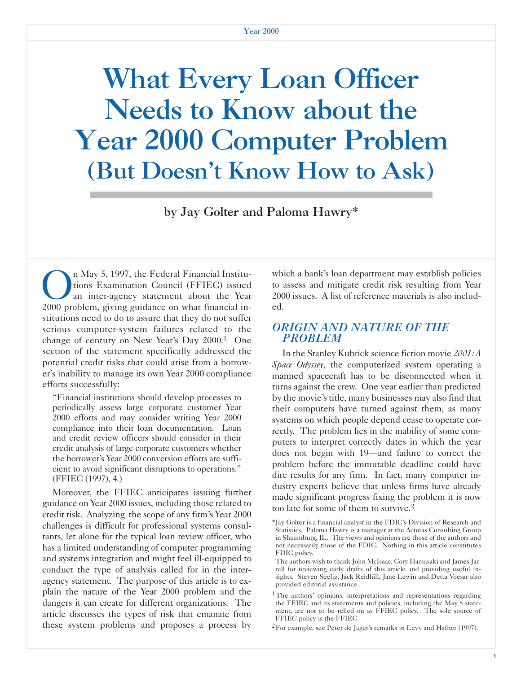# What Every Loan Officer Needs to Know about the Year 2000 Computer Problem (But Doesn't Know How to Ask)

by Jay Golter and Paloma Hawry\*

On May 5, 1997, the Federal Financial Institu-<br>tions Examination Council (FFIEC) issued<br>an inter-agency statement about the Year<br>2000 problem giving guidance on what financial intions Examination Council (FFIEC) issued an inter-agency statement about the Year 2000 problem, giving guidance on what financial institutions need to do to assure that they do not suffer serious computer-system failures related to the change of century on New Year's Day 2000.1 One section of the statement specifically addressed the potential credit risks that could arise from a borrower's inability to manage its own Year 2000 compliance efforts successfully:

"Financial institutions should develop processes to periodically assess large corporate customer Year 2000 efforts and may consider writing Year 2000 compliance into their loan documentation. Loan and credit review officers should consider in their credit analysis of large corporate customers whether the borrower's Year 2000 conversion efforts are sufficient to avoid significant disruptions to operations." (FFIEC (1997), 4.)

Moreover, the FFIEC anticipates issuing further guidance on Year 2000 issues, including those related to credit risk. Analyzing the scope of any firm's Year 2000 challenges is difficult for professional systems consultants, let alone for the typical loan review officer, who has a limited understanding of computer programming and systems integration and might feel ill-equipped to conduct the type of analysis called for in the interagency statement. The purpose of this article is to explain the nature of the Year 2000 problem and the dangers it can create for different organizations. The article discusses the types of risk that emanate from these system problems and proposes a process by which a bank's loan department may establish policies to assess and mitigate credit risk resulting from Year 2000 issues. A list of reference materials is also included.

## *ORIGIN AND NATURE OF THE PROBLEM*

In the Stanley Kubrick science fiction movie *2001: A Space Odyssey*, the computerized system operating a manned spacecraft has to be disconnected when it turns against the crew. One year earlier than predicted by the movie's title, many businesses may also find that their computers have turned against them, as many systems on which people depend cease to operate correctly. The problem lies in the inability of some computers to interpret correctly dates in which the year does not begin with 19—and failure to correct the problem before the immutable deadline could have dire results for any firm. In fact, many computer industry experts believe that unless firms have already made significant progress fixing the problem it is now too late for some of them to survive.<sup>2</sup>

<sup>\*</sup>Jay Golter is a financial analyst in the FDIC's Division of Research and Statistics. Paloma Hawry is a manager at the Actoras Consulting Group in Shaumburg, IL. The views and opinions are those of the authors and not necessarily those of the FDIC. Nothing in this article constitutes FDIC policy.

The authors wish to thank John McIsaac, Cory Hamasaki and James Jarrell for reviewing early drafts of this article and providing useful insights. Steven Seelig, Jack Reidhill, Jane Lewin and Detta Voesar also provided editorial assistance.

<sup>&</sup>lt;sup>1</sup>The authors' opinions, interpretations and representations regarding the FFIEC and its statements and policies, including the May 5 statement, are not to be relied on as FFIEC policy. The sole source of FFIEC policy is the FFIEC.

<sup>2</sup>For example, see Peter de Jager's remarks in Levy and Hafner (1997).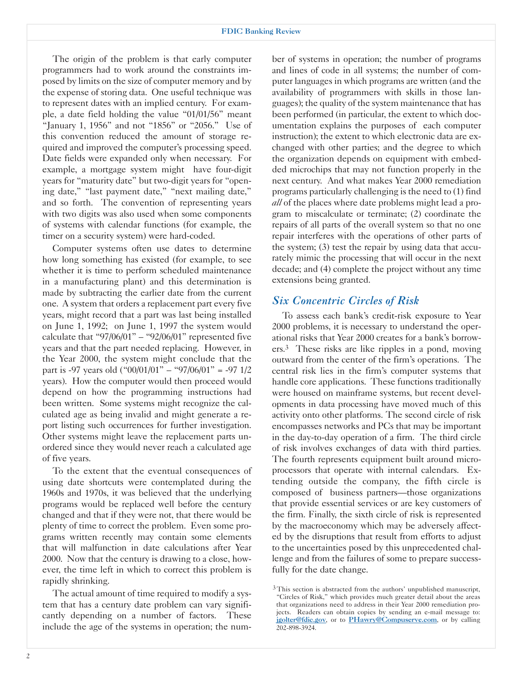The origin of the problem is that early computer programmers had to work around the constraints imposed by limits on the size of computer memory and by the expense of storing data. One useful technique was to represent dates with an implied century. For example, a date field holding the value "01/01/56" meant "January 1, 1956" and not "1856" or "2056." Use of this convention reduced the amount of storage required and improved the computer's processing speed. Date fields were expanded only when necessary. For example, a mortgage system might have four-digit years for "maturity date" but two-digit years for "opening date," "last payment date," "next mailing date," and so forth. The convention of representing years with two digits was also used when some components of systems with calendar functions (for example, the timer on a security system) were hard-coded.

Computer systems often use dates to determine how long something has existed (for example, to see whether it is time to perform scheduled maintenance in a manufacturing plant) and this determination is made by subtracting the earlier date from the current one. A system that orders a replacement part every five years, might record that a part was last being installed on June 1, 1992; on June 1, 1997 the system would calculate that "97/06/01" – "92/06/01" represented five years and that the part needed replacing. However, in the Year 2000, the system might conclude that the part is -97 years old  $($ "00/01/01" – "97/06/01" = -97 1/2 years). How the computer would then proceed would depend on how the programming instructions had been written. Some systems might recognize the calculated age as being invalid and might generate a report listing such occurrences for further investigation. Other systems might leave the replacement parts unordered since they would never reach a calculated age of five years.

To the extent that the eventual consequences of using date shortcuts were contemplated during the 1960s and 1970s, it was believed that the underlying programs would be replaced well before the century changed and that if they were not, that there would be plenty of time to correct the problem. Even some programs written recently may contain some elements that will malfunction in date calculations after Year 2000. Now that the century is drawing to a close, however, the time left in which to correct this problem is rapidly shrinking.

The actual amount of time required to modify a system that has a century date problem can vary significantly depending on a number of factors. These include the age of the systems in operation; the num-

ber of systems in operation; the number of programs and lines of code in all systems; the number of computer languages in which programs are written (and the availability of programmers with skills in those languages); the quality of the system maintenance that has been performed (in particular, the extent to which documentation explains the purposes of each computer instruction); the extent to which electronic data are exchanged with other parties; and the degree to which the organization depends on equipment with embedded microchips that may not function properly in the next century. And what makes Year 2000 remediation programs particularly challenging is the need to (1) find *all* of the places where date problems might lead a program to miscalculate or terminate; (2) coordinate the repairs of all parts of the overall system so that no one repair interferes with the operations of other parts of the system; (3) test the repair by using data that accurately mimic the processing that will occur in the next decade; and (4) complete the project without any time extensions being granted.

## *Six Concentric Circles of Risk*

To assess each bank's credit-risk exposure to Year 2000 problems, it is necessary to understand the operational risks that Year 2000 creates for a bank's borrowers.3 These risks are like ripples in a pond, moving outward from the center of the firm's operations. The central risk lies in the firm's computer systems that handle core applications. These functions traditionally were housed on mainframe systems, but recent developments in data processing have moved much of this activity onto other platforms. The second circle of risk encompasses networks and PCs that may be important in the day-to-day operation of a firm. The third circle of risk involves exchanges of data with third parties. The fourth represents equipment built around microprocessors that operate with internal calendars. Extending outside the company, the fifth circle is composed of business partners—those organizations that provide essential services or are key customers of the firm. Finally, the sixth circle of risk is represented by the macroeconomy which may be adversely affected by the disruptions that result from efforts to adjust to the uncertainties posed by this unprecedented challenge and from the failures of some to prepare successfully for the date change.

<sup>&</sup>lt;sup>3</sup>This section is abstracted from the authors' unpublished manuscript, "Circles of Risk," which provides much greater detail about the areas that organizations need to address in their Year 2000 remediation projects. Readers can obtain copies by sending an e-mail message to: jgolter@fdic.gov, or to PHawry@Compuserve.com, or by calling 202-898-3924.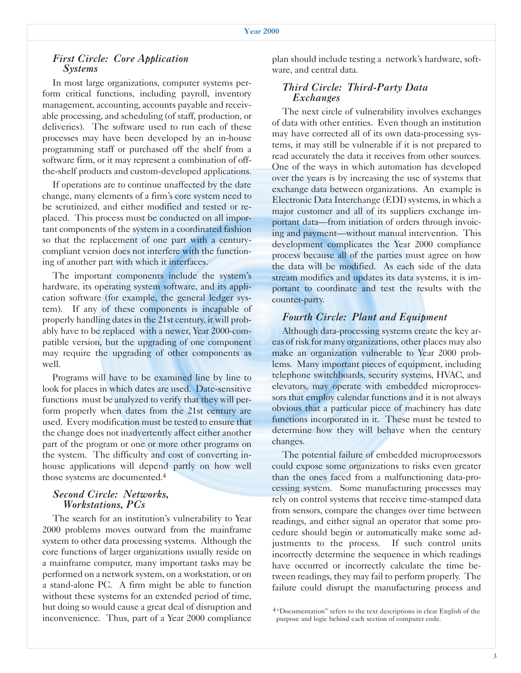#### *First Circle: Core Application Systems*

In most large organizations, computer systems perform critical functions, including payroll, inventory management, accounting, accounts payable and receivable processing, and scheduling (of staff, production, or deliveries). The software used to run each of these processes may have been developed by an in-house programming staff or purchased off the shelf from a software firm, or it may represent a combination of offthe-shelf products and custom-developed applications.

If operations are to continue unaffected by the date change, many elements of a firm's core system need to be scrutinized, and either modified and tested or replaced. This process must be conducted on all important components of the system in a coordinated fashion so that the replacement of one part with a centurycompliant version does not interfere with the functioning of another part with which it interfaces.

The important components include the system's hardware, its operating system software, and its application software (for example, the general ledger system). If any of these components is incapable of properly handling dates in the 21st century, it will probably have to be replaced with a newer, Year 2000-compatible version, but the upgrading of one component may require the upgrading of other components as well.

Programs will have to be examined line by line to look for places in which dates are used. Date-sensitive functions must be analyzed to verify that they will perform properly when dates from the 21st century are used. Every modification must be tested to ensure that the change does not inadvertently affect either another part of the program or one or more other programs on the system. The difficulty and cost of converting inhouse applications will depend partly on how well those systems are documented.4

#### *Second Circle: Networks, Workstations, PCs*

The search for an institution's vulnerability to Year 2000 problems moves outward from the mainframe system to other data processing systems. Although the core functions of larger organizations usually reside on a mainframe computer, many important tasks may be performed on a network system, on a workstation, or on a stand-alone PC. A firm might be able to function without these systems for an extended period of time, but doing so would cause a great deal of disruption and  $4^{4}$ Documentation" refers to the text descriptions in clear English of the inconvenience. Thus, part of a Year 2000 compliance purpose and logic behind each section of computer code.

plan should include testing a network's hardware, software, and central data.

#### *Third Circle: Third-Party Data Exchanges*

The next circle of vulnerability involves exchanges of data with other entities. Even though an institution may have corrected all of its own data-processing systems, it may still be vulnerable if it is not prepared to read accurately the data it receives from other sources. One of the ways in which automation has developed over the years is by increasing the use of systems that exchange data between organizations. An example is Electronic Data Interchange (EDI) systems, in which a major customer and all of its suppliers exchange important data—from initiation of orders through invoicing and payment—without manual intervention. This development complicates the Year 2000 compliance process because all of the parties must agree on how the data will be modified. As each side of the data stream modifies and updates its data systems, it is important to coordinate and test the results with the counter-party.

#### *Fourth Circle: Plant and Equipment*

Although data-processing systems create the key areas of risk for many organizations, other places may also make an organization vulnerable to Year 2000 problems. Many important pieces of equipment, including telephone switchboards, security systems, HVAC, and elevators, may operate with embedded microprocessors that employ calendar functions and it is not always obvious that a particular piece of machinery has date functions incorporated in it. These must be tested to determine how they will behave when the century changes.

The potential failure of embedded microprocessors could expose some organizations to risks even greater than the ones faced from a malfunctioning data-processing system. Some manufacturing processes may rely on control systems that receive time-stamped data from sensors, compare the changes over time between readings, and either signal an operator that some procedure should begin or automatically make some adjustments to the process. If such control units incorrectly determine the sequence in which readings have occurred or incorrectly calculate the time between readings, they may fail to perform properly. The failure could disrupt the manufacturing process and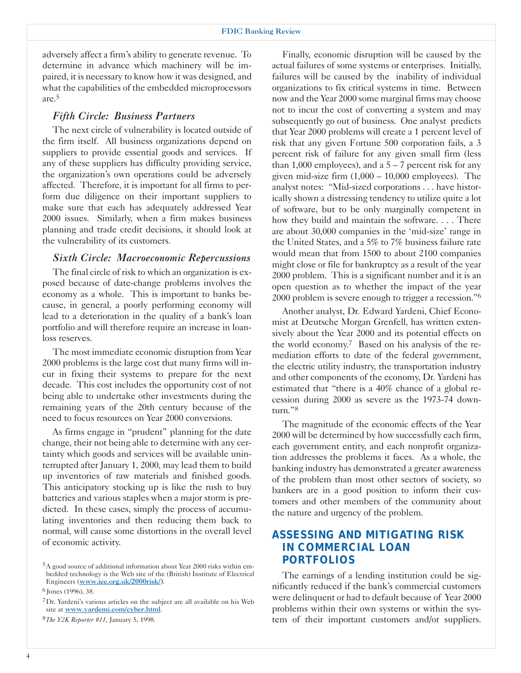adversely affect a firm's ability to generate revenue. To determine in advance which machinery will be impaired, it is necessary to know how it was designed, and what the capabilities of the embedded microprocessors are.5

#### *Fifth Circle: Business Partners*

The next circle of vulnerability is located outside of the firm itself. All business organizations depend on suppliers to provide essential goods and services. If any of these suppliers has difficulty providing service, the organization's own operations could be adversely affected. Therefore, it is important for all firms to perform due diligence on their important suppliers to make sure that each has adequately addressed Year 2000 issues. Similarly, when a firm makes business planning and trade credit decisions, it should look at the vulnerability of its customers.

#### *Sixth Circle: Macroeconomic Repercussions*

The final circle of risk to which an organization is exposed because of date-change problems involves the economy as a whole. This is important to banks because, in general, a poorly performing economy will lead to a deterioration in the quality of a bank's loan portfolio and will therefore require an increase in loanloss reserves.

The most immediate economic disruption from Year 2000 problems is the large cost that many firms will incur in fixing their systems to prepare for the next decade. This cost includes the opportunity cost of not being able to undertake other investments during the remaining years of the 20th century because of the need to focus resources on Year 2000 conversions.

As firms engage in "prudent" planning for the date change, their not being able to determine with any certainty which goods and services will be available uninterrupted after January 1, 2000, may lead them to build up inventories of raw materials and finished goods. This anticipatory stocking up is like the rush to buy batteries and various staples when a major storm is predicted. In these cases, simply the process of accumulating inventories and then reducing them back to normal, will cause some distortions in the overall level of economic activity.

6 Jones (1996), 38.

Finally, economic disruption will be caused by the actual failures of some systems or enterprises. Initially, failures will be caused by the inability of individual organizations to fix critical systems in time. Between now and the Year 2000 some marginal firms may choose not to incur the cost of converting a system and may subsequently go out of business. One analyst predicts that Year 2000 problems will create a 1 percent level of risk that any given Fortune 500 corporation fails, a 3 percent risk of failure for any given small firm (less than 1,000 employees), and a  $5 - 7$  percent risk for any given mid-size firm  $(1,000 - 10,000)$  employees). The analyst notes: "Mid-sized corporations . . . have historically shown a distressing tendency to utilize quite a lot of software, but to be only marginally competent in how they build and maintain the software. . . . There are about 30,000 companies in the 'mid-size' range in the United States, and a 5% to 7% business failure rate would mean that from 1500 to about 2100 companies might close or file for bankruptcy as a result of the year 2000 problem. This is a significant number and it is an open question as to whether the impact of the year 2000 problem is severe enough to trigger a recession."6

Another analyst, Dr. Edward Yardeni, Chief Economist at Deutsche Morgan Grenfell, has written extensively about the Year 2000 and its potential effects on the world economy.7 Based on his analysis of the remediation efforts to date of the federal government, the electric utility industry, the transportation industry and other components of the economy, Dr. Yardeni has estimated that "there is a 40% chance of a global recession during 2000 as severe as the 1973-74 downturn."8

The magnitude of the economic effects of the Year 2000 will be determined by how successfully each firm, each government entity, and each nonprofit organization addresses the problems it faces. As a whole, the banking industry has demonstrated a greater awareness of the problem than most other sectors of society, so bankers are in a good position to inform their customers and other members of the community about the nature and urgency of the problem.

## *ASSESSING AND MITIGATING RISK IN COMMERCIAL LOAN PORTFOLIOS*

The earnings of a lending institution could be significantly reduced if the bank's commercial customers were delinquent or had to default because of Year 2000 problems within their own systems or within the system of their important customers and/or suppliers.

<sup>5</sup>A good source of additional information about Year 2000 risks within embedded technology is the Web site of the (British) Institute of Electrical Engineers (www.iee.org.uk/2000risk/).

<sup>7</sup>Dr. Yardeni's various articles on the subject are all available on his Web site at www.yardemi.com/cyber.html.

<sup>8</sup>*The Y2K Reporter #11*, January 5, 1998.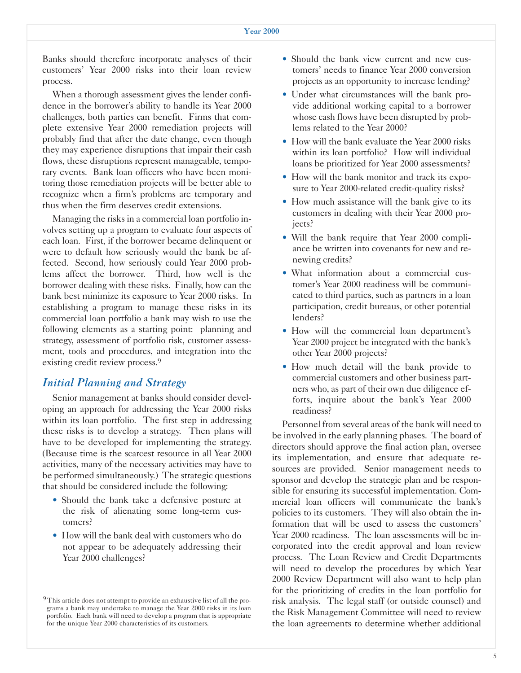Banks should therefore incorporate analyses of their customers' Year 2000 risks into their loan review process.

When a thorough assessment gives the lender confidence in the borrower's ability to handle its Year 2000 challenges, both parties can benefit. Firms that complete extensive Year 2000 remediation projects will probably find that after the date change, even though they may experience disruptions that impair their cash flows, these disruptions represent manageable, temporary events. Bank loan officers who have been monitoring those remediation projects will be better able to recognize when a firm's problems are temporary and thus when the firm deserves credit extensions.

Managing the risks in a commercial loan portfolio involves setting up a program to evaluate four aspects of each loan. First, if the borrower became delinquent or were to default how seriously would the bank be affected. Second, how seriously could Year 2000 problems affect the borrower. Third, how well is the borrower dealing with these risks. Finally, how can the bank best minimize its exposure to Year 2000 risks. In establishing a program to manage these risks in its commercial loan portfolio a bank may wish to use the following elements as a starting point: planning and strategy, assessment of portfolio risk, customer assessment, tools and procedures, and integration into the existing credit review process.<sup>9</sup>

## *Initial Planning and Strategy*

Senior management at banks should consider developing an approach for addressing the Year 2000 risks within its loan portfolio. The first step in addressing these risks is to develop a strategy. Then plans will have to be developed for implementing the strategy. (Because time is the scarcest resource in all Year 2000 activities, many of the necessary activities may have to be performed simultaneously.) The strategic questions that should be considered include the following:

- Should the bank take a defensive posture at the risk of alienating some long-term customers?
- How will the bank deal with customers who do not appear to be adequately addressing their Year 2000 challenges?
- Should the bank view current and new customers' needs to finance Year 2000 conversion projects as an opportunity to increase lending?
- Under what circumstances will the bank provide additional working capital to a borrower whose cash flows have been disrupted by problems related to the Year 2000?
- How will the bank evaluate the Year 2000 risks within its loan portfolio? How will individual loans be prioritized for Year 2000 assessments?
- How will the bank monitor and track its exposure to Year 2000-related credit-quality risks?
- How much assistance will the bank give to its customers in dealing with their Year 2000 projects?
- Will the bank require that Year 2000 compliance be written into covenants for new and renewing credits?
- What information about a commercial customer's Year 2000 readiness will be communicated to third parties, such as partners in a loan participation, credit bureaus, or other potential lenders?
- • How will the commercial loan department's Year 2000 project be integrated with the bank's other Year 2000 projects?
- How much detail will the bank provide to commercial customers and other business partners who, as part of their own due diligence efforts, inquire about the bank's Year 2000 readiness?

Personnel from several areas of the bank will need to be involved in the early planning phases. The board of directors should approve the final action plan, oversee its implementation, and ensure that adequate resources are provided. Senior management needs to sponsor and develop the strategic plan and be responsible for ensuring its successful implementation. Commercial loan officers will communicate the bank's policies to its customers. They will also obtain the information that will be used to assess the customers' Year 2000 readiness. The loan assessments will be incorporated into the credit approval and loan review process. The Loan Review and Credit Departments will need to develop the procedures by which Year 2000 Review Department will also want to help plan for the prioritizing of credits in the loan portfolio for risk analysis. The legal staff (or outside counsel) and the Risk Management Committee will need to review the loan agreements to determine whether additional

<sup>&</sup>lt;sup>9</sup> This article does not attempt to provide an exhaustive list of all the programs a bank may undertake to manage the Year 2000 risks in its loan portfolio. Each bank will need to develop a program that is appropriate for the unique Year 2000 characteristics of its customers.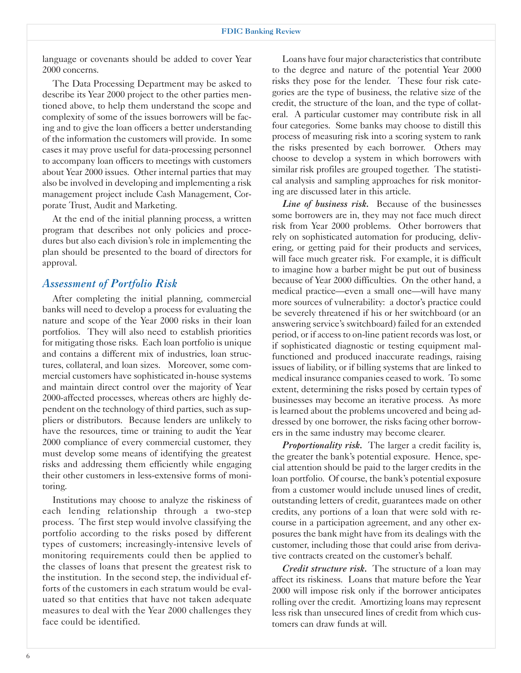language or covenants should be added to cover Year 2000 concerns.

The Data Processing Department may be asked to describe its Year 2000 project to the other parties mentioned above, to help them understand the scope and complexity of some of the issues borrowers will be facing and to give the loan officers a better understanding of the information the customers will provide. In some cases it may prove useful for data-processing personnel to accompany loan officers to meetings with customers about Year 2000 issues. Other internal parties that may also be involved in developing and implementing a risk management project include Cash Management, Corporate Trust, Audit and Marketing.

At the end of the initial planning process, a written program that describes not only policies and procedures but also each division's role in implementing the plan should be presented to the board of directors for approval.

## *Assessment of Portfolio Risk*

After completing the initial planning, commercial banks will need to develop a process for evaluating the nature and scope of the Year 2000 risks in their loan portfolios. They will also need to establish priorities for mitigating those risks. Each loan portfolio is unique and contains a different mix of industries, loan structures, collateral, and loan sizes. Moreover, some commercial customers have sophisticated in-house systems and maintain direct control over the majority of Year 2000-affected processes, whereas others are highly dependent on the technology of third parties, such as suppliers or distributors. Because lenders are unlikely to have the resources, time or training to audit the Year 2000 compliance of every commercial customer, they must develop some means of identifying the greatest risks and addressing them efficiently while engaging their other customers in less-extensive forms of monitoring.

Institutions may choose to analyze the riskiness of each lending relationship through a two-step process. The first step would involve classifying the portfolio according to the risks posed by different types of customers; increasingly-intensive levels of monitoring requirements could then be applied to the classes of loans that present the greatest risk to the institution. In the second step, the individual efforts of the customers in each stratum would be evaluated so that entities that have not taken adequate measures to deal with the Year 2000 challenges they face could be identified.

Loans have four major characteristics that contribute to the degree and nature of the potential Year 2000 risks they pose for the lender. These four risk categories are the type of business, the relative size of the credit, the structure of the loan, and the type of collateral. A particular customer may contribute risk in all four categories. Some banks may choose to distill this process of measuring risk into a scoring system to rank the risks presented by each borrower. Others may choose to develop a system in which borrowers with similar risk profiles are grouped together. The statistical analysis and sampling approaches for risk monitoring are discussed later in this article.

*Line of business risk.* Because of the businesses some borrowers are in, they may not face much direct risk from Year 2000 problems. Other borrowers that rely on sophisticated automation for producing, delivering, or getting paid for their products and services, will face much greater risk. For example, it is difficult to imagine how a barber might be put out of business because of Year 2000 difficulties. On the other hand, a medical practice—even a small one—will have many more sources of vulnerability: a doctor's practice could be severely threatened if his or her switchboard (or an answering service's switchboard) failed for an extended period, or if access to on-line patient records was lost, or if sophisticated diagnostic or testing equipment malfunctioned and produced inaccurate readings, raising issues of liability, or if billing systems that are linked to medical insurance companies ceased to work. To some extent, determining the risks posed by certain types of businesses may become an iterative process. As more is learned about the problems uncovered and being addressed by one borrower, the risks facing other borrowers in the same industry may become clearer.

*Proportionality risk.* The larger a credit facility is, the greater the bank's potential exposure. Hence, special attention should be paid to the larger credits in the loan portfolio. Of course, the bank's potential exposure from a customer would include unused lines of credit, outstanding letters of credit, guarantees made on other credits, any portions of a loan that were sold with recourse in a participation agreement, and any other exposures the bank might have from its dealings with the customer, including those that could arise from derivative contracts created on the customer's behalf.

*Credit structure risk.* The structure of a loan may affect its riskiness. Loans that mature before the Year 2000 will impose risk only if the borrower anticipates rolling over the credit. Amortizing loans may represent less risk than unsecured lines of credit from which customers can draw funds at will.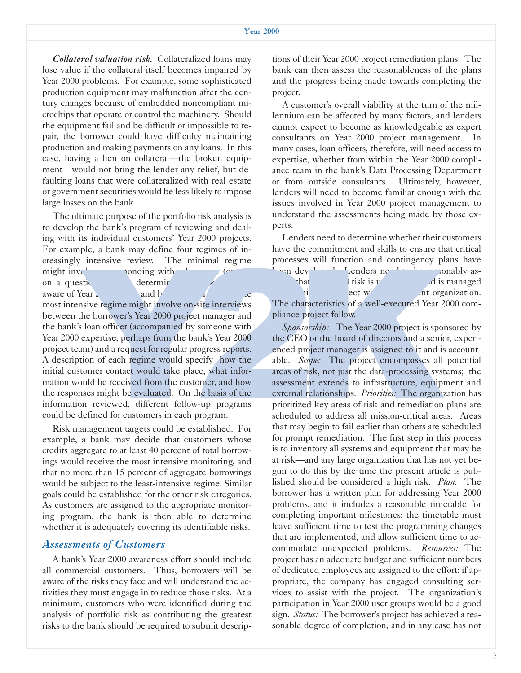*Collateral valuation risk.* Collateralized loans may lose value if the collateral itself becomes impaired by Year 2000 problems. For example, some sophisticated production equipment may malfunction after the century changes because of embedded noncompliant microchips that operate or control the machinery. Should the equipment fail and be difficult or impossible to repair, the borrower could have difficulty maintaining production and making payments on any loans. In this case, having a lien on collateral—the broken equipment—would not bring the lender any relief, but defaulting loans that were collateralized with real estate or government securities would be less likely to impose large losses on the bank.

The ultimate purpose of the portfolio risk analysis is to develop the bank's program of reviewing and dealing with its individual customers' Year 2000 projects. For example, a bank may define four regimes of increasingly intensive review. The minimal regime might involvements conding with  $\frac{1}{2}$  for relative corresponding with  $\frac{1}{2}$  (or

aware of Year 2000 is and h

on a questionnaire determine

The mightare intensive regime to the minimal regime processes will this interview on-site interviews on a question and one question and the characteristics of a well-executed Year 2000 com-<br>
most interviews between the bo between the borrower's Year 2000 project manager and pliance project follow. information reviewed, different follow-up programs could be defined for customers in each program.

Risk management targets could be established. For example, a bank may decide that customers whose credits aggregate to at least 40 percent of total borrowings would receive the most intensive monitoring, and that no more than 15 percent of aggregate borrowings would be subject to the least-intensive regime. Similar goals could be established for the other risk categories. As customers are assigned to the appropriate monitoring program, the bank is then able to determine whether it is adequately covering its identifiable risks.

## *Assessments of Customers*

A bank's Year 2000 awareness effort should include all commercial customers. Thus, borrowers will be aware of the risks they face and will understand the activities they must engage in to reduce those risks. At a minimum, customers who were identified during the analysis of portfolio risk as contributing the greatest risks to the bank should be required to submit descrip-

tions of their Year 2000 project remediation plans. The bank can then assess the reasonableness of the plans and the progress being made towards completing the project.

A customer's overall viability at the turn of the millennium can be affected by many factors, and lenders cannot expect to become as knowledgeable as expert consultants on Year 2000 project management. In many cases, loan officers, therefore, will need access to expertise, whether from within the Year 2000 compliance team in the bank's Data Processing Department or from outside consultants. Ultimately, however, lenders will need to become familiar enough with the issues involved in Year 2000 project management to understand the assessments being made by those experts.

Lenders need to determine whether their customers have the commitment and skills to ensure that critical processes will function and contingency plans have been developed. Lenders need to be reasonably as- $\theta$  risk is understood and is managed

b the bank's program of reviewing and deal-<br>
and deal-<br>
as individual customers' Year 2000 projects.<br>
Lenders need to determine whether their customers<br>
be, a bank my define four regimes of in-<br>
intensive review. The minim the bank's loan officer (accompanied by someone with *Sponsorship:* The Year 2000 project is sponsored by Year 2000 expertise, perhaps from the bank's Year 2000 the CEO or the board of directors and a senior, experiproject team) and a request for regular progress reports. enced project manager is assigned to it and is account-A description of each regime would specify how the able. *Scope:* The project encompasses all potential initial customer contact would take place, what infor- areas of risk, not just the data-processing systems; the mation would be received from the customer, and how assessment extends to infrastructure, equipment and the responses might be evaluated. On the basis of the external relationships. *Priorities:* The organization has prioritized key areas of risk and remediation plans are scheduled to address all mission-critical areas. Areas that may begin to fail earlier than others are scheduled for prompt remediation. The first step in this process is to inventory all systems and equipment that may be at risk—and any large organization that has not yet begun to do this by the time the present article is published should be considered a high risk. *Plan:* The borrower has a written plan for addressing Year 2000 problems, and it includes a reasonable timetable for completing important milestones; the timetable must leave sufficient time to test the programming changes that are implemented, and allow sufficient time to accommodate unexpected problems. *Resources:* The project has an adequate budget and sufficient numbers of dedicated employees are assigned to the effort; if appropriate, the company has engaged consulting services to assist with the project. The organization's participation in Year 2000 user groups would be a good sign. *Status:* The borrower's project has achieved a reasonable degree of completion, and in any case has not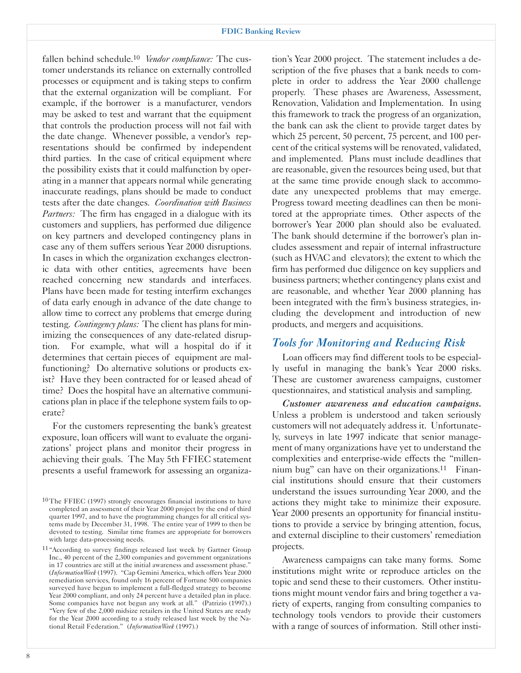fallen behind schedule.10 *Vendor compliance:* The customer understands its reliance on externally controlled processes or equipment and is taking steps to confirm that the external organization will be compliant. For example, if the borrower is a manufacturer, vendors may be asked to test and warrant that the equipment that controls the production process will not fail with the date change. Whenever possible, a vendor's representations should be confirmed by independent third parties. In the case of critical equipment where the possibility exists that it could malfunction by operating in a manner that appears normal while generating inaccurate readings, plans should be made to conduct tests after the date changes. *Coordination with Business Partners:* The firm has engaged in a dialogue with its customers and suppliers, has performed due diligence on key partners and developed contingency plans in case any of them suffers serious Year 2000 disruptions. In cases in which the organization exchanges electronic data with other entities, agreements have been reached concerning new standards and interfaces. Plans have been made for testing interfirm exchanges of data early enough in advance of the date change to allow time to correct any problems that emerge during testing. *Contingency plans:* The client has plans for minimizing the consequences of any date-related disruption. For example, what will a hospital do if it determines that certain pieces of equipment are malfunctioning? Do alternative solutions or products exist? Have they been contracted for or leased ahead of time? Does the hospital have an alternative communications plan in place if the telephone system fails to operate?

For the customers representing the bank's greatest exposure, loan officers will want to evaluate the organizations' project plans and monitor their progress in achieving their goals. The May 5th FFIEC statement presents a useful framework for assessing an organiza-

tion's Year 2000 project. The statement includes a description of the five phases that a bank needs to complete in order to address the Year 2000 challenge properly. These phases are Awareness, Assessment, Renovation, Validation and Implementation. In using this framework to track the progress of an organization, the bank can ask the client to provide target dates by which 25 percent, 50 percent, 75 percent, and 100 percent of the critical systems will be renovated, validated, and implemented. Plans must include deadlines that are reasonable, given the resources being used, but that at the same time provide enough slack to accommodate any unexpected problems that may emerge. Progress toward meeting deadlines can then be monitored at the appropriate times. Other aspects of the borrower's Year 2000 plan should also be evaluated. The bank should determine if the borrower's plan includes assessment and repair of internal infrastructure (such as HVAC and elevators); the extent to which the firm has performed due diligence on key suppliers and business partners; whether contingency plans exist and are reasonable, and whether Year 2000 planning has been integrated with the firm's business strategies, including the development and introduction of new products, and mergers and acquisitions.

## *Tools for Monitoring and Reducing Risk*

Loan officers may find different tools to be especially useful in managing the bank's Year 2000 risks. These are customer awareness campaigns, customer questionnaires, and statistical analysis and sampling.

*Customer awareness and education campaigns.*  Unless a problem is understood and taken seriously customers will not adequately address it. Unfortunately, surveys in late 1997 indicate that senior management of many organizations have yet to understand the complexities and enterprise-wide effects the "millennium bug" can have on their organizations.<sup>11</sup> Financial institutions should ensure that their customers understand the issues surrounding Year 2000, and the actions they might take to minimize their exposure. Year 2000 presents an opportunity for financial institutions to provide a service by bringing attention, focus, and external discipline to their customers' remediation projects.

Awareness campaigns can take many forms. Some institutions might write or reproduce articles on the topic and send these to their customers. Other institutions might mount vendor fairs and bring together a variety of experts, ranging from consulting companies to technology tools vendors to provide their customers with a range of sources of information. Still other insti-

<sup>10</sup> The FFIEC (1997) strongly encourages financial institutions to have completed an assessment of their Year 2000 project by the end of third quarter 1997, and to have the programming changes for all critical systems made by December 31, 1998. The entire year of 1999 to then be devoted to testing. Similar time frames are appropriate for borrowers with large data-processing needs.

<sup>11&</sup>quot;According to survey findings released last week by Gartner Group Inc., 40 percent of the 2,300 companies and government organizations in 17 countries are still at the initial awareness and assessment phase." (*InformationWeek* (1997). "Cap Gemini America, which offers Year 2000 remediation services, found only 16 percent of Fortune 500 companies surveyed have begun to implement a full-fledged strategy to become Year 2000 compliant, and only 24 percent have a detailed plan in place. Some companies have not begun any work at all." (Patrizio (1997).) "Very few of the 2,000 midsize retailers in the United States are ready for the Year 2000 according to a study released last week by the National Retail Federation." (*InformationWeek* (1997).)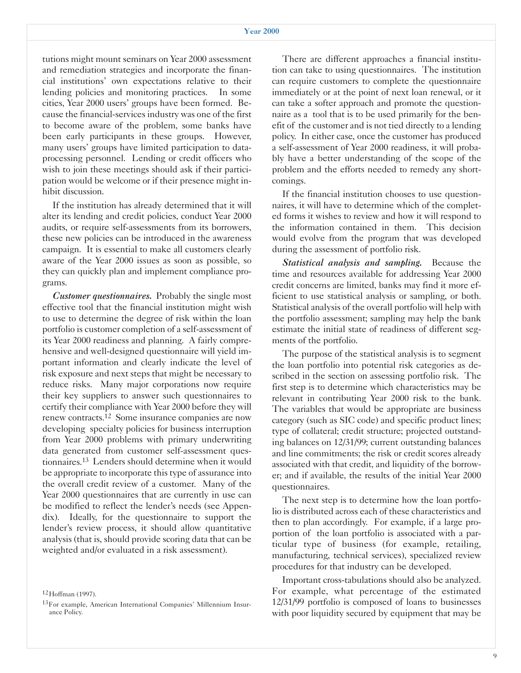tutions might mount seminars on Year 2000 assessment and remediation strategies and incorporate the financial institutions' own expectations relative to their lending policies and monitoring practices. In some cities, Year 2000 users' groups have been formed. Because the financial-services industry was one of the first to become aware of the problem, some banks have been early participants in these groups. However, many users' groups have limited participation to dataprocessing personnel. Lending or credit officers who wish to join these meetings should ask if their participation would be welcome or if their presence might inhibit discussion.

If the institution has already determined that it will alter its lending and credit policies, conduct Year 2000 audits, or require self-assessments from its borrowers, these new policies can be introduced in the awareness campaign. It is essential to make all customers clearly aware of the Year 2000 issues as soon as possible, so they can quickly plan and implement compliance programs.

*Customer questionnaires.* Probably the single most effective tool that the financial institution might wish to use to determine the degree of risk within the loan portfolio is customer completion of a self-assessment of its Year 2000 readiness and planning. A fairly comprehensive and well-designed questionnaire will yield important information and clearly indicate the level of risk exposure and next steps that might be necessary to reduce risks. Many major corporations now require their key suppliers to answer such questionnaires to certify their compliance with Year 2000 before they will renew contracts.12 Some insurance companies are now developing specialty policies for business interruption from Year 2000 problems with primary underwriting data generated from customer self-assessment questionnaires.13 Lenders should determine when it would be appropriate to incorporate this type of assurance into the overall credit review of a customer. Many of the Year 2000 questionnaires that are currently in use can be modified to reflect the lender's needs (see Appendix). Ideally, for the questionnaire to support the lender's review process, it should allow quantitative analysis (that is, should provide scoring data that can be weighted and/or evaluated in a risk assessment).

12Hoffman (1997).

There are different approaches a financial institution can take to using questionnaires. The institution can require customers to complete the questionnaire immediately or at the point of next loan renewal, or it can take a softer approach and promote the questionnaire as a tool that is to be used primarily for the benefit of the customer and is not tied directly to a lending policy. In either case, once the customer has produced a self-assessment of Year 2000 readiness, it will probably have a better understanding of the scope of the problem and the efforts needed to remedy any shortcomings.

If the financial institution chooses to use questionnaires, it will have to determine which of the completed forms it wishes to review and how it will respond to the information contained in them. This decision would evolve from the program that was developed during the assessment of portfolio risk.

*Statistical analysis and sampling.* Because the time and resources available for addressing Year 2000 credit concerns are limited, banks may find it more efficient to use statistical analysis or sampling, or both. Statistical analysis of the overall portfolio will help with the portfolio assessment; sampling may help the bank estimate the initial state of readiness of different segments of the portfolio.

The purpose of the statistical analysis is to segment the loan portfolio into potential risk categories as described in the section on assessing portfolio risk. The first step is to determine which characteristics may be relevant in contributing Year 2000 risk to the bank. The variables that would be appropriate are business category (such as SIC code) and specific product lines; type of collateral; credit structure; projected outstanding balances on 12/31/99; current outstanding balances and line commitments; the risk or credit scores already associated with that credit, and liquidity of the borrower; and if available, the results of the initial Year 2000 questionnaires.

The next step is to determine how the loan portfolio is distributed across each of these characteristics and then to plan accordingly. For example, if a large proportion of the loan portfolio is associated with a particular type of business (for example, retailing, manufacturing, technical services), specialized review procedures for that industry can be developed.

Important cross-tabulations should also be analyzed. For example, what percentage of the estimated 12/31/99 portfolio is composed of loans to businesses with poor liquidity secured by equipment that may be

<sup>13</sup>For example, American International Companies' Millennium Insurance Policy.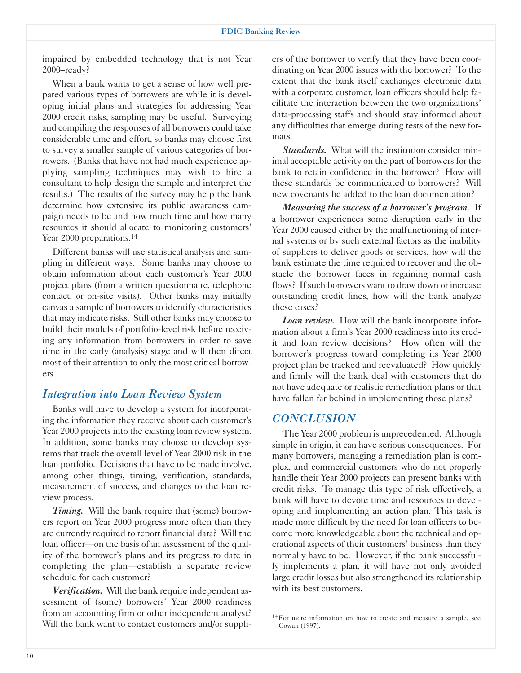impaired by embedded technology that is not Year 2000–ready?

When a bank wants to get a sense of how well prepared various types of borrowers are while it is developing initial plans and strategies for addressing Year 2000 credit risks, sampling may be useful. Surveying and compiling the responses of all borrowers could take considerable time and effort, so banks may choose first to survey a smaller sample of various categories of borrowers. (Banks that have not had much experience applying sampling techniques may wish to hire a consultant to help design the sample and interpret the results.) The results of the survey may help the bank determine how extensive its public awareness campaign needs to be and how much time and how many resources it should allocate to monitoring customers' Year 2000 preparations.<sup>14</sup>

Different banks will use statistical analysis and sampling in different ways. Some banks may choose to obtain information about each customer's Year 2000 project plans (from a written questionnaire, telephone contact, or on-site visits). Other banks may initially canvas a sample of borrowers to identify characteristics that may indicate risks. Still other banks may choose to build their models of portfolio-level risk before receiving any information from borrowers in order to save time in the early (analysis) stage and will then direct most of their attention to only the most critical borrowers.

## *Integration into Loan Review System*

Banks will have to develop a system for incorporating the information they receive about each customer's Year 2000 projects into the existing loan review system. In addition, some banks may choose to develop systems that track the overall level of Year 2000 risk in the loan portfolio. Decisions that have to be made involve, among other things, timing, verification, standards, measurement of success, and changes to the loan review process.

*Timing.* Will the bank require that (some) borrowers report on Year 2000 progress more often than they are currently required to report financial data? Will the loan officer—on the basis of an assessment of the quality of the borrower's plans and its progress to date in completing the plan—establish a separate review schedule for each customer?

*Verification.* Will the bank require independent assessment of (some) borrowers' Year 2000 readiness from an accounting firm or other independent analyst? Will the bank want to contact customers and/or suppli-

ers of the borrower to verify that they have been coordinating on Year 2000 issues with the borrower? To the extent that the bank itself exchanges electronic data with a corporate customer, loan officers should help facilitate the interaction between the two organizations' data-processing staffs and should stay informed about any difficulties that emerge during tests of the new formats.

*Standards.* What will the institution consider minimal acceptable activity on the part of borrowers for the bank to retain confidence in the borrower? How will these standards be communicated to borrowers? Will new covenants be added to the loan documentation?

*Measuring the success of a borrower's program.* If a borrower experiences some disruption early in the Year 2000 caused either by the malfunctioning of internal systems or by such external factors as the inability of suppliers to deliver goods or services, how will the bank estimate the time required to recover and the obstacle the borrower faces in regaining normal cash flows? If such borrowers want to draw down or increase outstanding credit lines, how will the bank analyze these cases?

*Loan review.* How will the bank incorporate information about a firm's Year 2000 readiness into its credit and loan review decisions? How often will the borrower's progress toward completing its Year 2000 project plan be tracked and reevaluated? How quickly and firmly will the bank deal with customers that do not have adequate or realistic remediation plans or that have fallen far behind in implementing those plans?

## *CONCLUSION*

The Year 2000 problem is unprecedented. Although simple in origin, it can have serious consequences. For many borrowers, managing a remediation plan is complex, and commercial customers who do not properly handle their Year 2000 projects can present banks with credit risks. To manage this type of risk effectively, a bank will have to devote time and resources to developing and implementing an action plan. This task is made more difficult by the need for loan officers to become more knowledgeable about the technical and operational aspects of their customers' business than they normally have to be. However, if the bank successfully implements a plan, it will have not only avoided large credit losses but also strengthened its relationship with its best customers.

<sup>14</sup>For more information on how to create and measure a sample, see Cowan (1997).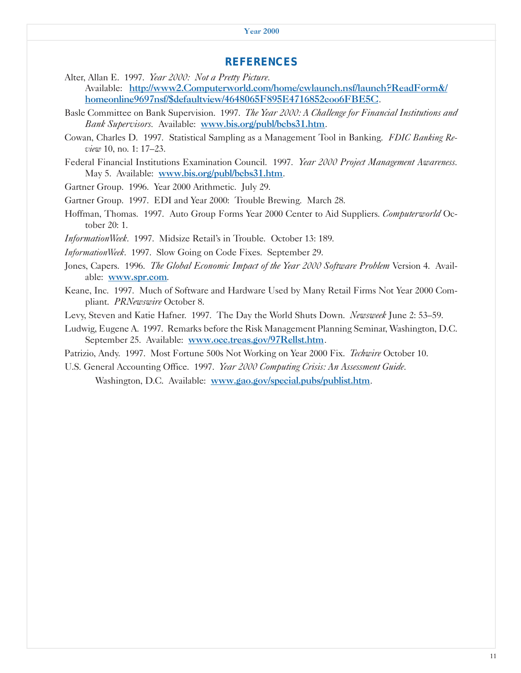#### *REFERENCES*

- Alter, Allan E. 1997. *Year 2000: Not a Pretty Picture.*  Available: http://www2.Computerworld.com/home/cwlaunch.nsf/launch?ReadForm&/ homeonline9697nsf/\$defaultview/4648065F895E4716852coo6FBE5C.
- Basle Committee on Bank Supervision. 1997. *The Year 2000: A Challenge for Financial Institutions and Bank Supervisors.* Available: www.bis.org/publ/bcbs31.htm.
- Cowan, Charles D. 1997. Statistical Sampling as a Management Tool in Banking. *FDIC Banking Review* 10, no. 1: 17–23.
- Federal Financial Institutions Examination Council. 1997. *Year 2000 Project Management Awareness.*  May 5. Available: www.bis.org/publ/bcbs31.htm.

Gartner Group. 1996. Year 2000 Arithmetic. July 29.

Gartner Group. 1997. EDI and Year 2000: Trouble Brewing*.* March 28.

Hoffman, Thomas. 1997. Auto Group Forms Year 2000 Center to Aid Suppliers*. Computerworld* October 20: 1.

*InformationWeek*. 1997. Midsize Retail's in Trouble*.* October 13: 189.

*InformationWeek*. 1997. Slow Going on Code Fixes. September 29.

Jones, Capers. 1996. *The Global Economic Impact of the Year 2000 Software Problem* Version 4. Available: www.spr.com.

Keane, Inc. 1997. Much of Software and Hardware Used by Many Retail Firms Not Year 2000 Compliant. *PRNewswire* October 8.

Levy, Steven and Katie Hafner. 1997. The Day the World Shuts Down. *Newsweek* June 2: 53–59.

Ludwig, Eugene A. 1997. Remarks before the Risk Management Planning Seminar, Washington, D.C. September 25. Available: www.occ.treas.gov/97Rellst.htm.

Patrizio, Andy. 1997. Most Fortune 500s Not Working on Year 2000 Fix. *Techwire* October 10.

U.S. General Accounting Office. 1997. *Year 2000 Computing Crisis: An Assessment Guide*. Washington, D.C. Available: www.gao.gov/special.pubs/publist.htm.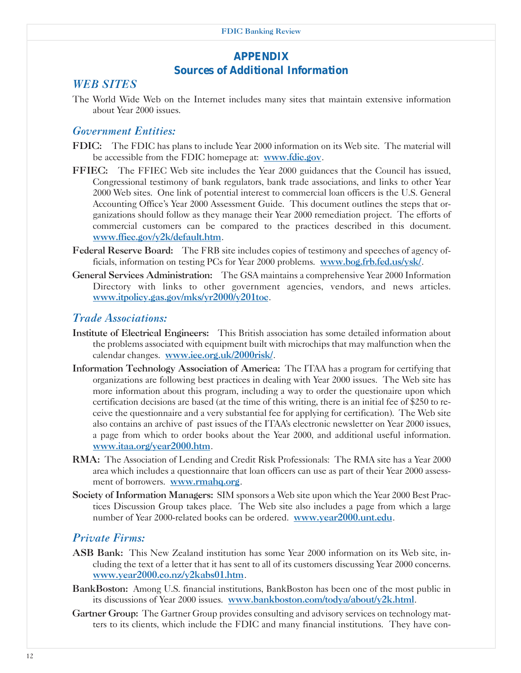## *APPENDIX Sources of Additional Information*

## *WEB SITES*

The World Wide Web on the Internet includes many sites that maintain extensive information about Year 2000 issues.

## *Government Entities:*

- FDIC: The FDIC has plans to include Year 2000 information on its Web site. The material will be accessible from the FDIC homepage at: www.fdic.gov.
- FFIEC: The FFIEC Web site includes the Year 2000 guidances that the Council has issued, Congressional testimony of bank regulators, bank trade associations, and links to other Year 2000 Web sites. One link of potential interest to commercial loan officers is the U.S. General Accounting Office's Year 2000 Assessment Guide. This document outlines the steps that organizations should follow as they manage their Year 2000 remediation project. The efforts of commercial customers can be compared to the practices described in this document. www.ffiec.gov/y2k/default.htm.
- Federal Reserve Board: The FRB site includes copies of testimony and speeches of agency officials, information on testing PCs for Year 2000 problems. www.bog.frb.fed.us/ysk/.
- General Services Administration: The GSA maintains a comprehensive Year 2000 Information Directory with links to other government agencies, vendors, and news articles. www.itpolicy.gas.gov/mks/yr2000/y201toc.

## *Trade Associations:*

- Institute of Electrical Engineers: This British association has some detailed information about the problems associated with equipment built with microchips that may malfunction when the calendar changes. www.iee.org.uk/2000risk/.
- Information Technology Association of America: The ITAA has a program for certifying that organizations are following best practices in dealing with Year 2000 issues. The Web site has more information about this program, including a way to order the questionaire upon which certification decisions are based (at the time of this writing, there is an initial fee of \$250 to receive the questionnaire and a very substantial fee for applying for certification). The Web site also contains an archive of past issues of the ITAA's electronic newsletter on Year 2000 issues, a page from which to order books about the Year 2000, and additional useful information. www.itaa.org/year2000.htm.
- RMA: The Association of Lending and Credit Risk Professionals: The RMA site has a Year 2000 area which includes a questionnaire that loan officers can use as part of their Year 2000 assessment of borrowers. www.rmahq.org.
- Society of Information Managers: SIM sponsors a Web site upon which the Year 2000 Best Practices Discussion Group takes place. The Web site also includes a page from which a large number of Year 2000-related books can be ordered. www.year2000.unt.edu.

## *Private Firms:*

- ASB Bank: This New Zealand institution has some Year 2000 information on its Web site, including the text of a letter that it has sent to all of its customers discussing Year 2000 concerns. www.year2000.co.nz/y2kabs01.htm.
- BankBoston: Among U.S. financial institutions, BankBoston has been one of the most public in its discussions of Year 2000 issues. www.bankboston.com/todya/about/y2k.html.
- Gartner Group: The Gartner Group provides consulting and advisory services on technology matters to its clients, which include the FDIC and many financial institutions. They have con-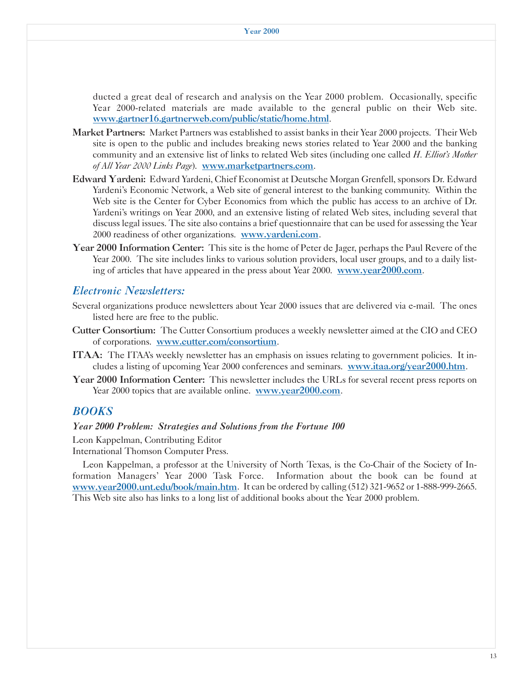ducted a great deal of research and analysis on the Year 2000 problem. Occasionally, specific Year 2000-related materials are made available to the general public on their Web site. www.gartner16.gartnerweb.com/public/static/home.html.

- Market Partners: Market Partners was established to assist banks in their Year 2000 projects. Their Web site is open to the public and includes breaking news stories related to Year 2000 and the banking community and an extensive list of links to related Web sites (including one called *H. Elliot's Mother of All Year 2000 Links Page*). www.marketpartners.com.
- Edward Yardeni: Edward Yardeni, Chief Economist at Deutsche Morgan Grenfell, sponsors Dr. Edward Yardeni's Economic Network, a Web site of general interest to the banking community. Within the Web site is the Center for Cyber Economics from which the public has access to an archive of Dr. Yardeni's writings on Year 2000, and an extensive listing of related Web sites, including several that discuss legal issues. The site also contains a brief questionnaire that can be used for assessing the Year 2000 readiness of other organizations. www.yardeni.com.
- Year 2000 Information Center: This site is the home of Peter de Jager, perhaps the Paul Revere of the Year 2000. The site includes links to various solution providers, local user groups, and to a daily listing of articles that have appeared in the press about Year 2000. www.year2000.com.

## *Electronic Newsletters:*

- Several organizations produce newsletters about Year 2000 issues that are delivered via e-mail. The ones listed here are free to the public.
- Cutter Consortium: The Cutter Consortium produces a weekly newsletter aimed at the CIO and CEO of corporations. www.cutter.com/consortium.
- ITAA: The ITAA's weekly newsletter has an emphasis on issues relating to government policies. It includes a listing of upcoming Year 2000 conferences and seminars. www.itaa.org/year2000.htm.
- Year 2000 Information Center: This newsletter includes the URLs for several recent press reports on Year 2000 topics that are available online. www.year2000.com.

## *BOOKS*

#### *Year 2000 Problem: Strategies and Solutions from the Fortune 100*

Leon Kappelman, Contributing Editor

International Thomson Computer Press.

Leon Kappelman, a professor at the University of North Texas, is the Co-Chair of the Society of Information Managers' Year 2000 Task Force. Information about the book can be found at www.year2000.unt.edu/book/main.htm. It can be ordered by calling (512) 321-9652 or 1-888-999-2665. This Web site also has links to a long list of additional books about the Year 2000 problem.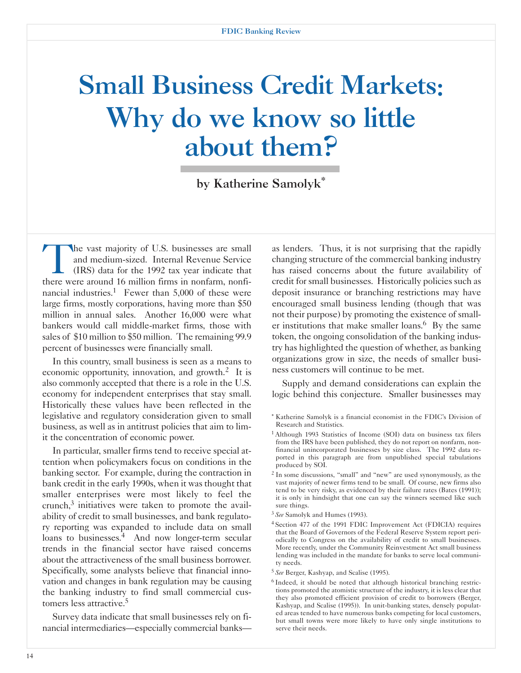## Small Business Credit Markets: Why do we know so little about them?

by Katherine Samolyk\*

The vast majority of U.S. businesses are small<br>and medium-sized. Internal Revenue Service<br>(IRS) data for the 1992 tax year indicate that<br>there were around 16 million firms in ponfarm ponfiand medium-sized. Internal Revenue Service (IRS) data for the 1992 tax year indicate that there were around 16 million firms in nonfarm, nonfinancial industries.<sup>1</sup> Fewer than  $5,000$  of these were large firms, mostly corporations, having more than \$50 million in annual sales. Another 16,000 were what bankers would call middle-market firms, those with sales of \$10 million to \$50 million. The remaining 99.9 percent of businesses were financially small.

In this country, small business is seen as a means to economic opportunity, innovation, and growth. $2$  It is also commonly accepted that there is a role in the U.S. economy for independent enterprises that stay small. Historically these values have been reflected in the legislative and regulatory consideration given to small business, as well as in antitrust policies that aim to limit the concentration of economic power.

In particular, smaller firms tend to receive special attention when policymakers focus on conditions in the banking sector. For example, during the contraction in bank credit in the early 1990s, when it was thought that smaller enterprises were most likely to feel the crunch, $3$  initiatives were taken to promote the availability of credit to small businesses, and bank regulatory reporting was expanded to include data on small loans to businesses.<sup>4</sup> And now longer-term secular trends in the financial sector have raised concerns about the attractiveness of the small business borrower. Specifically, some analysts believe that financial innovation and changes in bank regulation may be causing the banking industry to find small commercial customers less attractive.5

Survey data indicate that small businesses rely on financial intermediaries—especially commercial banks—

as lenders. Thus, it is not surprising that the rapidly changing structure of the commercial banking industry has raised concerns about the future availability of credit for small businesses. Historically policies such as deposit insurance or branching restrictions may have encouraged small business lending (though that was not their purpose) by promoting the existence of smaller institutions that make smaller loans.<sup>6</sup> By the same token, the ongoing consolidation of the banking industry has highlighted the question of whether, as banking organizations grow in size, the needs of smaller business customers will continue to be met.

Supply and demand considerations can explain the logic behind this conjecture. Smaller businesses may

- \* Katherine Samolyk is a financial economist in the FDIC's Division of Research and Statistics.
- 1 Although 1993 Statistics of Income (SOI) data on business tax filers from the IRS have been published, they do not report on nonfarm, nonfinancial unincorporated businesses by size class. The 1992 data reported in this paragraph are from unpublished special tabulations produced by SOI.
- 2 In some discussions, "small" and "new" are used synonymously, as the vast majority of newer firms tend to be small. Of course, new firms also tend to be very risky, as evidenced by their failure rates (Bates (1991)); it is only in hindsight that one can say the winners seemed like such sure things.
- <sup>3</sup>*See* Samolyk and Humes (1993).
- 4 Section 477 of the 1991 FDIC Improvement Act (FDICIA) requires that the Board of Governors of the Federal Reserve System report periodically to Congress on the availability of credit to small businesses. More recently, under the Community Reinvestment Act small business lending was included in the mandate for banks to serve local community needs.
- <sup>5</sup>*See* Berger, Kashyap, and Scalise (1995).
- 6 Indeed, it should be noted that although historical branching restrictions promoted the atomistic structure of the industry, it is less clear that they also promoted efficient provision of credit to borrowers (Berger, Kashyap, and Scalise (1995)). In unit-banking states, densely populated areas tended to have numerous banks competing for local customers, but small towns were more likely to have only single institutions to serve their needs.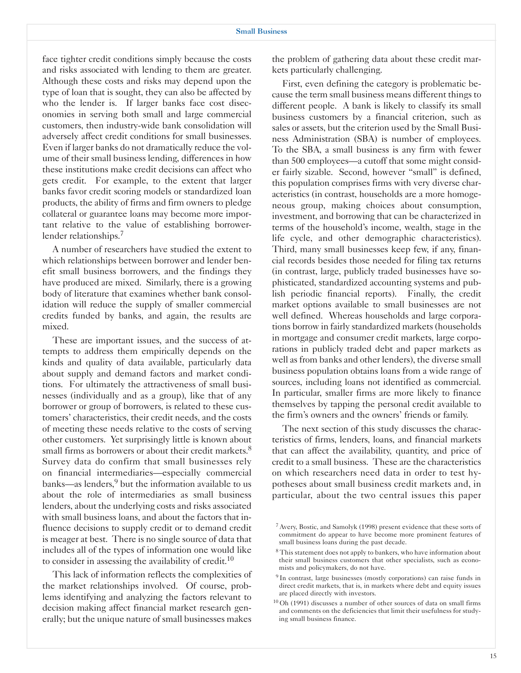face tighter credit conditions simply because the costs and risks associated with lending to them are greater. Although these costs and risks may depend upon the type of loan that is sought, they can also be affected by who the lender is. If larger banks face cost diseconomies in serving both small and large commercial customers, then industry-wide bank consolidation will adversely affect credit conditions for small businesses. Even if larger banks do not dramatically reduce the volume of their small business lending, differences in how these institutions make credit decisions can affect who gets credit. For example, to the extent that larger banks favor credit scoring models or standardized loan products, the ability of firms and firm owners to pledge collateral or guarantee loans may become more important relative to the value of establishing borrowerlender relationships.<sup>7</sup>

A number of researchers have studied the extent to which relationships between borrower and lender benefit small business borrowers, and the findings they have produced are mixed. Similarly, there is a growing body of literature that examines whether bank consolidation will reduce the supply of smaller commercial credits funded by banks, and again, the results are mixed.

These are important issues, and the success of attempts to address them empirically depends on the kinds and quality of data available, particularly data about supply and demand factors and market conditions. For ultimately the attractiveness of small businesses (individually and as a group), like that of any borrower or group of borrowers, is related to these customers' characteristics, their credit needs, and the costs of meeting these needs relative to the costs of serving other customers. Yet surprisingly little is known about small firms as borrowers or about their credit markets.<sup>8</sup> Survey data do confirm that small businesses rely on financial intermediaries—especially commercial banks—as lenders,<sup>9</sup> but the information available to us about the role of intermediaries as small business lenders, about the underlying costs and risks associated with small business loans, and about the factors that influence decisions to supply credit or to demand credit is meager at best. There is no single source of data that includes all of the types of information one would like to consider in assessing the availability of credit.<sup>10</sup>

This lack of information reflects the complexities of the market relationships involved. Of course, problems identifying and analyzing the factors relevant to decision making affect financial market research generally; but the unique nature of small businesses makes

the problem of gathering data about these credit markets particularly challenging.

First, even defining the category is problematic because the term small business means different things to different people. A bank is likely to classify its small business customers by a financial criterion, such as sales or assets, but the criterion used by the Small Business Administration (SBA) is number of employees. To the SBA, a small business is any firm with fewer than 500 employees—a cutoff that some might consider fairly sizable. Second, however "small" is defined, this population comprises firms with very diverse characteristics (in contrast, households are a more homogeneous group, making choices about consumption, investment, and borrowing that can be characterized in terms of the household's income, wealth, stage in the life cycle, and other demographic characteristics). Third, many small businesses keep few, if any, financial records besides those needed for filing tax returns (in contrast, large, publicly traded businesses have sophisticated, standardized accounting systems and publish periodic financial reports). Finally, the credit market options available to small businesses are not well defined. Whereas households and large corporations borrow in fairly standardized markets (households in mortgage and consumer credit markets, large corporations in publicly traded debt and paper markets as well as from banks and other lenders), the diverse small business population obtains loans from a wide range of sources, including loans not identified as commercial. In particular, smaller firms are more likely to finance themselves by tapping the personal credit available to the firm's owners and the owners' friends or family.

The next section of this study discusses the characteristics of firms, lenders, loans, and financial markets that can affect the availability, quantity, and price of credit to a small business. These are the characteristics on which researchers need data in order to test hypotheses about small business credit markets and, in particular, about the two central issues this paper

<sup>1</sup> 7 Avery, Bostic, and Samolyk (1998) present evidence that these sorts of commitment do appear to have become more prominent features of small business loans during the past decade.

<sup>&</sup>lt;sup>8</sup> This statement does not apply to bankers, who have information about their small business customers that other specialists, such as economists and policymakers, do not have.

<sup>&</sup>lt;sup>9</sup> In contrast, large businesses (mostly corporations) can raise funds in direct credit markets, that is, in markets where debt and equity issues are placed directly with investors.

<sup>10</sup> Oh (1991) discusses a number of other sources of data on small firms and comments on the deficiencies that limit their usefulness for studying small business finance.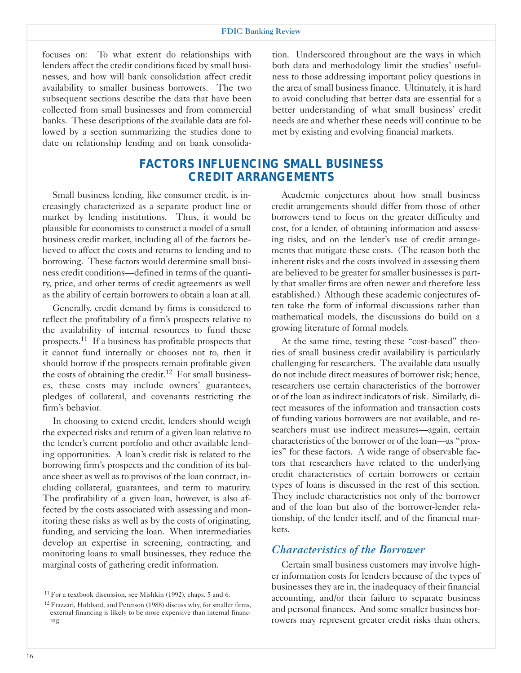focuses on: To what extent do relationships with lenders affect the credit conditions faced by small businesses, and how will bank consolidation affect credit availability to smaller business borrowers. The two subsequent sections describe the data that have been collected from small businesses and from commercial banks. These descriptions of the available data are followed by a section summarizing the studies done to date on relationship lending and on bank consolidation. Underscored throughout are the ways in which both data and methodology limit the studies' usefulness to those addressing important policy questions in the area of small business finance. Ultimately, it is hard to avoid concluding that better data are essential for a better understanding of what small business' credit needs are and whether these needs will continue to be met by existing and evolving financial markets.

## *FACTORS INFLUENCING SMALL BUSINESS CREDIT ARRANGEMENTS*

Small business lending, like consumer credit, is increasingly characterized as a separate product line or market by lending institutions. Thus, it would be plausible for economists to construct a model of a small business credit market, including all of the factors believed to affect the costs and returns to lending and to borrowing. These factors would determine small business credit conditions—defined in terms of the quantity, price, and other terms of credit agreements as well as the ability of certain borrowers to obtain a loan at all.

Generally, credit demand by firms is considered to reflect the profitability of a firm's prospects relative to the availability of internal resources to fund these prospects.11 If a business has profitable prospects that it cannot fund internally or chooses not to, then it should borrow if the prospects remain profitable given the costs of obtaining the credit.<sup>12</sup> For small businesses, these costs may include owners' guarantees, pledges of collateral, and covenants restricting the firm's behavior.

In choosing to extend credit, lenders should weigh the expected risks and return of a given loan relative to the lender's current portfolio and other available lending opportunities. A loan's credit risk is related to the borrowing firm's prospects and the condition of its balance sheet as well as to provisos of the loan contract, including collateral, guarantees, and term to maturity. The profitability of a given loan, however, is also affected by the costs associated with assessing and monitoring these risks as well as by the costs of originating, funding, and servicing the loan. When intermediaries develop an expertise in screening, contracting, and monitoring loans to small businesses, they reduce the marginal costs of gathering credit information.

Academic conjectures about how small business credit arrangements should differ from those of other borrowers tend to focus on the greater difficulty and cost, for a lender, of obtaining information and assessing risks, and on the lender's use of credit arrangements that mitigate these costs. (The reason both the inherent risks and the costs involved in assessing them are believed to be greater for smaller businesses is partly that smaller firms are often newer and therefore less established.) Although these academic conjectures often take the form of informal discussions rather than mathematical models, the discussions do build on a growing literature of formal models.

At the same time, testing these "cost-based" theories of small business credit availability is particularly challenging for researchers. The available data usually do not include direct measures of borrower risk; hence, researchers use certain characteristics of the borrower or of the loan as indirect indicators of risk. Similarly, direct measures of the information and transaction costs of funding various borrowers are not available, and researchers must use indirect measures—again, certain characteristics of the borrower or of the loan—as "proxies" for these factors. A wide range of observable factors that researchers have related to the underlying credit characteristics of certain borrowers or certain types of loans is discussed in the rest of this section. They include characteristics not only of the borrower and of the loan but also of the borrower-lender relationship, of the lender itself, and of the financial markets.

#### *Characteristics of the Borrower*

Certain small business customers may involve higher information costs for lenders because of the types of businesses they are in, the inadequacy of their financial accounting, and/or their failure to separate business and personal finances. And some smaller business borrowers may represent greater credit risks than others,

<sup>11</sup> For a textbook discussion, see Mishkin (1992), chaps. 5 and 6.

<sup>&</sup>lt;sup>12</sup> Frazzari, Hubbard, and Peterson (1988) discuss why, for smaller firms, external financing is likely to be more expensive than internal financing.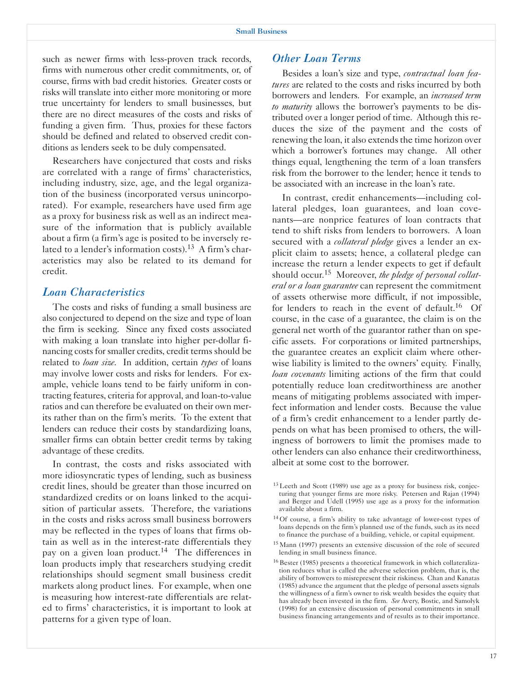such as newer firms with less-proven track records, firms with numerous other credit commitments, or, of course, firms with bad credit histories. Greater costs or risks will translate into either more monitoring or more true uncertainty for lenders to small businesses, but there are no direct measures of the costs and risks of funding a given firm. Thus, proxies for these factors should be defined and related to observed credit conditions as lenders seek to be duly compensated.

Researchers have conjectured that costs and risks are correlated with a range of firms' characteristics, including industry, size, age, and the legal organization of the business (incorporated versus unincorporated). For example, researchers have used firm age as a proxy for business risk as well as an indirect measure of the information that is publicly available about a firm (a firm's age is posited to be inversely related to a lender's information costs).<sup>13</sup> A firm's characteristics may also be related to its demand for credit.

#### *Loan Characteristics*

The costs and risks of funding a small business are also conjectured to depend on the size and type of loan the firm is seeking. Since any fixed costs associated with making a loan translate into higher per-dollar financing costs for smaller credits, credit terms should be related to *loan size*. In addition, certain *types* of loans may involve lower costs and risks for lenders. For example, vehicle loans tend to be fairly uniform in contracting features, criteria for approval, and loan-to-value ratios and can therefore be evaluated on their own merits rather than on the firm's merits. To the extent that lenders can reduce their costs by standardizing loans, smaller firms can obtain better credit terms by taking advantage of these credits.

In contrast, the costs and risks associated with more idiosyncratic types of lending, such as business credit lines, should be greater than those incurred on standardized credits or on loans linked to the acquisition of particular assets. Therefore, the variations in the costs and risks across small business borrowers may be reflected in the types of loans that firms obtain as well as in the interest-rate differentials they pay on a given loan product.<sup>14</sup> The differences in loan products imply that researchers studying credit relationships should segment small business credit markets along product lines. For example, when one is measuring how interest-rate differentials are related to firms' characteristics, it is important to look at patterns for a given type of loan.

#### *Other Loan Terms*

Besides a loan's size and type, *contractual loan features* are related to the costs and risks incurred by both borrowers and lenders. For example, an *increased term to maturity* allows the borrower's payments to be distributed over a longer period of time. Although this reduces the size of the payment and the costs of renewing the loan, it also extends the time horizon over which a borrower's fortunes may change. All other things equal, lengthening the term of a loan transfers risk from the borrower to the lender; hence it tends to be associated with an increase in the loan's rate.

In contrast, credit enhancements—including collateral pledges, loan guarantees, and loan covenants—are nonprice features of loan contracts that tend to shift risks from lenders to borrowers. A loan secured with a *collateral pledge* gives a lender an explicit claim to assets; hence, a collateral pledge can increase the return a lender expects to get if default should occur.15 Moreover, *the pledge of personal collateral or a loan guarantee* can represent the commitment of assets otherwise more difficult, if not impossible, for lenders to reach in the event of default.<sup>16</sup> Of course, in the case of a guarantee, the claim is on the general net worth of the guarantor rather than on specific assets. For corporations or limited partnerships, the guarantee creates an explicit claim where otherwise liability is limited to the owners' equity. Finally, *loan covenants* limiting actions of the firm that could potentially reduce loan creditworthiness are another means of mitigating problems associated with imperfect information and lender costs. Because the value of a firm's credit enhancement to a lender partly depends on what has been promised to others, the willingness of borrowers to limit the promises made to other lenders can also enhance their creditworthiness, albeit at some cost to the borrower.

- 13 Leeth and Scott (1989) use age as a proxy for business risk, conjecturing that younger firms are more risky. Petersen and Rajan (1994) and Berger and Udell (1995) use age as a proxy for the information available about a firm.
- 14 Of course, a firm's ability to take advantage of lower-cost types of loans depends on the firm's planned use of the funds, such as its need to finance the purchase of a building, vehicle, or capital equipment.
- 15 Mann (1997) presents an extensive discussion of the role of secured lending in small business finance.
- 16 Bester (1985) presents a theoretical framework in which collateralization reduces what is called the adverse selection problem, that is, the ability of borrowers to misrepresent their riskiness. Chan and Kanatas (1985) advance the argument that the pledge of personal assets signals the willingness of a firm's owner to risk wealth besides the equity that has already been invested in the firm. *See* Avery, Bostic, and Samolyk (1998) for an extensive discussion of personal commitments in small business financing arrangements and of results as to their importance.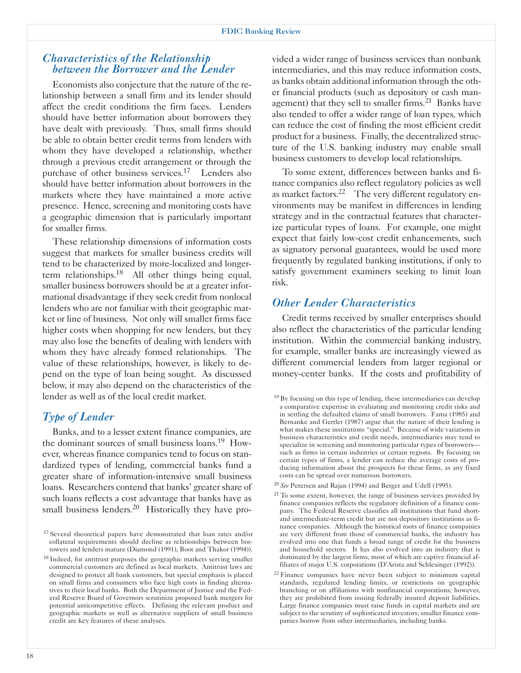## *Characteristics of the Relationship between the Borrower and the Lender*

Economists also conjecture that the nature of the relationship between a small firm and its lender should affect the credit conditions the firm faces. Lenders should have better information about borrowers they have dealt with previously. Thus, small firms should be able to obtain better credit terms from lenders with whom they have developed a relationship, whether through a previous credit arrangement or through the purchase of other business services.<sup>17</sup> Lenders also should have better information about borrowers in the markets where they have maintained a more active presence. Hence, screening and monitoring costs have a geographic dimension that is particularly important for smaller firms.

These relationship dimensions of information costs suggest that markets for smaller business credits will tend to be characterized by more-localized and longerterm relationships.<sup>18</sup> All other things being equal, smaller business borrowers should be at a greater informational disadvantage if they seek credit from nonlocal lenders who are not familiar with their geographic market or line of business. Not only will smaller firms face higher costs when shopping for new lenders, but they may also lose the benefits of dealing with lenders with whom they have already formed relationships. The value of these relationships, however, is likely to depend on the type of loan being sought. As discussed below, it may also depend on the characteristics of the lender as well as of the local credit market.

## *Type of Lender*

Banks, and to a lesser extent finance companies, are the dominant sources of small business loans.19 However, whereas finance companies tend to focus on standardized types of lending, commercial banks fund a greater share of information-intensive small business loans. Researchers contend that banks' greater share of such loans reflects a cost advantage that banks have as small business lenders.<sup>20</sup> Historically they have pro-

vided a wider range of business services than nonbank intermediaries, and this may reduce information costs, as banks obtain additional information through the other financial products (such as depository or cash management) that they sell to smaller firms.<sup>21</sup> Banks have also tended to offer a wider range of loan types, which can reduce the cost of finding the most efficient credit product for a business. Finally, the decentralized structure of the U.S. banking industry may enable small business customers to develop local relationships.

To some extent, differences between banks and finance companies also reflect regulatory policies as well as market factors.<sup>22</sup> The very different regulatory environments may be manifest in differences in lending strategy and in the contractual features that characterize particular types of loans. For example, one might expect that fairly low-cost credit enhancements, such as signatory personal guarantees, would be used more frequently by regulated banking institutions, if only to satisfy government examiners seeking to limit loan risk.

## *Other Lender Characteristics*

Credit terms received by smaller enterprises should also reflect the characteristics of the particular lending institution. Within the commercial banking industry, for example, smaller banks are increasingly viewed as different commercial lenders from larger regional or money-center banks. If the costs and profitability of

- <sup>20</sup>*See* Petersen and Rajan (1994) and Berger and Udell (1995).
- $21$  To some extent, however, the range of business services provided by finance companies reflects the regulatory definition of a finance company. The Federal Reserve classifies all institutions that fund shortand intermediate-term credit but are not depository institutions as finance companies. Although the historical roots of finance companies are very different from those of commercial banks, the industry has evolved into one that funds a broad range of credit for the business and household sectors. It has also evolved into an industry that is dominated by the largest firms, most of which are captive financial affiliates of major U.S. corporations (D'Arista and Schlesinger (1992)).
- $22$  Finance companies have never been subject to minimum capital standards, regulated lending limits, or restrictions on geographic branching or on affiliations with nonfinancial corporations; however, they are prohibited from issuing federally insured deposit liabilities. Large finance companies must raise funds in capital markets and are subject to the scrutiny of sophisticated investors; smaller finance companies borrow from other intermediaries, including banks.

<sup>&</sup>lt;sup>17</sup> Several theoretical papers have demonstrated that loan rates and/or collateral requirements should decline as relationships between borrowers and lenders mature (Diamond (1991), Boot and Thakor (1994)).

<sup>&</sup>lt;sup>18</sup> Indeed, for antitrust purposes the geographic markets serving smaller commercial customers are defined as local markets. Antitrust laws are designed to protect all bank customers, but special emphasis is placed on small firms and consumers who face high costs in finding alternatives to their local banks. Both the Department of Justice and the Federal Reserve Board of Governors scrutinize proposed bank mergers for potential anticompetitive effects. Defining the relevant product and geographic markets as well as alternative suppliers of small business credit are key features of these analyses.

<sup>&</sup>lt;sup>19</sup> By focusing on this type of lending, these intermediaries can develop a comparative expertise in evaluating and monitoring credit risks and in settling the defaulted claims of small borrowers. Fama (1985) and Bernanke and Gertler (1987) argue that the nature of their lending is what makes these institutions "special." Because of wide variations in business characteristics and credit needs, intermediaries may tend to specialize in screening and monitoring particular types of borrowers such as firms in certain industries or certain regions. By focusing on certain types of firms, a lender can reduce the average costs of producing information about the prospects for these firms, as any fixed costs can be spread over numerous borrowers.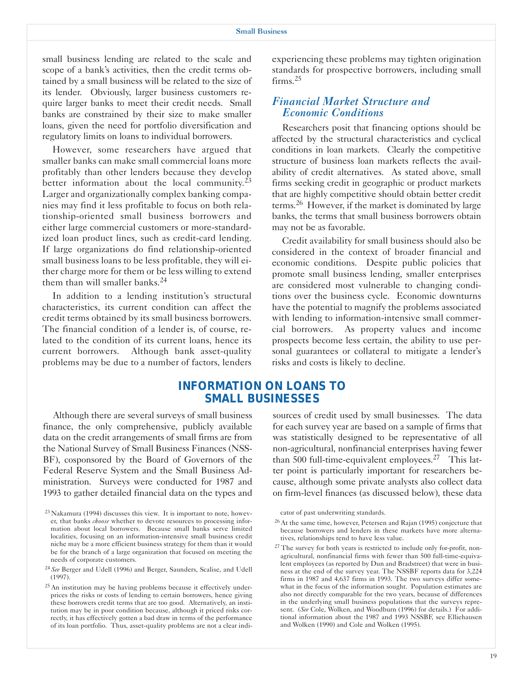small business lending are related to the scale and scope of a bank's activities, then the credit terms obtained by a small business will be related to the size of its lender. Obviously, larger business customers require larger banks to meet their credit needs. Small banks are constrained by their size to make smaller loans, given the need for portfolio diversification and regulatory limits on loans to individual borrowers.

However, some researchers have argued that smaller banks can make small commercial loans more profitably than other lenders because they develop better information about the local community.<sup>23</sup> Larger and organizationally complex banking companies may find it less profitable to focus on both relationship-oriented small business borrowers and either large commercial customers or more-standardized loan product lines, such as credit-card lending. If large organizations do find relationship-oriented small business loans to be less profitable, they will either charge more for them or be less willing to extend them than will smaller banks.<sup>24</sup>

In addition to a lending institution's structural characteristics, its current condition can affect the credit terms obtained by its small business borrowers. The financial condition of a lender is, of course, related to the condition of its current loans, hence its current borrowers. Although bank asset-quality problems may be due to a number of factors, lenders

experiencing these problems may tighten origination standards for prospective borrowers, including small firms.<sup>25</sup>

## *Financial Market Structure and Economic Conditions*

Researchers posit that financing options should be affected by the structural characteristics and cyclical conditions in loan markets. Clearly the competitive structure of business loan markets reflects the availability of credit alternatives. As stated above, small firms seeking credit in geographic or product markets that are highly competitive should obtain better credit terms.26 However, if the market is dominated by large banks, the terms that small business borrowers obtain may not be as favorable.

Credit availability for small business should also be considered in the context of broader financial and economic conditions. Despite public policies that promote small business lending, smaller enterprises are considered most vulnerable to changing conditions over the business cycle. Economic downturns have the potential to magnify the problems associated with lending to information-intensive small commercial borrowers. As property values and income prospects become less certain, the ability to use personal guarantees or collateral to mitigate a lender's risks and costs is likely to decline.

## *INFORMATION ON LOANS TO SMALL BUSINESSES*

Although there are several surveys of small business finance, the only comprehensive, publicly available data on the credit arrangements of small firms are from the National Survey of Small Business Finances (NSS-BF), cosponsored by the Board of Governors of the Federal Reserve System and the Small Business Administration. Surveys were conducted for 1987 and 1993 to gather detailed financial data on the types and sources of credit used by small businesses. The data for each survey year are based on a sample of firms that was statistically designed to be representative of all non-agricultural, nonfinancial enterprises having fewer than 500 full-time-equivalent employees.<sup>27</sup> This latter point is particularly important for researchers because, although some private analysts also collect data on firm-level finances (as discussed below), these data

cator of past underwriting standards.

<sup>23</sup> Nakamura (1994) discusses this view. It is important to note, however, that banks *choose* whether to devote resources to processing information about local borrowers. Because small banks serve limited localities, focusing on an information-intensive small business credit niche may be a more efficient business strategy for them than it would be for the branch of a large organization that focused on meeting the needs of corporate customers.

<sup>24</sup>*See* Berger and Udell (1996) and Berger, Saunders, Scalise, and Udell (1997).

<sup>&</sup>lt;sup>25</sup> An institution may be having problems because it effectively underprices the risks or costs of lending to certain borrowers, hence giving these borrowers credit terms that are too good. Alternatively, an institution may be in poor condition because, although it priced risks correctly, it has effectively gotten a bad draw in terms of the performance of its loan portfolio. Thus, asset-quality problems are not a clear indi-

<sup>26</sup> At the same time, however, Petersen and Rajan (1995) conjecture that because borrowers and lenders in these markets have more alternatives, relationships tend to have less value.

<sup>&</sup>lt;sup>27</sup> The survey for both years is restricted to include only for-profit, nonagricultural, nonfinancial firms with fewer than 500 full-time-equivalent employees (as reported by Dun and Bradstreet) that were in business at the end of the survey year. The NSSBF reports data for 3,224 firms in 1987 and 4,637 firms in 1993. The two surveys differ somewhat in the focus of the information sought. Population estimates are also not directly comparable for the two years, because of differences in the underlying small business populations that the surveys represent. (*See* Cole, Wolken, and Woodburn (1996) for details.) For additional information about the 1987 and 1993 NSSBF, see Elliehausen and Wolken (1990) and Cole and Wolken (1995).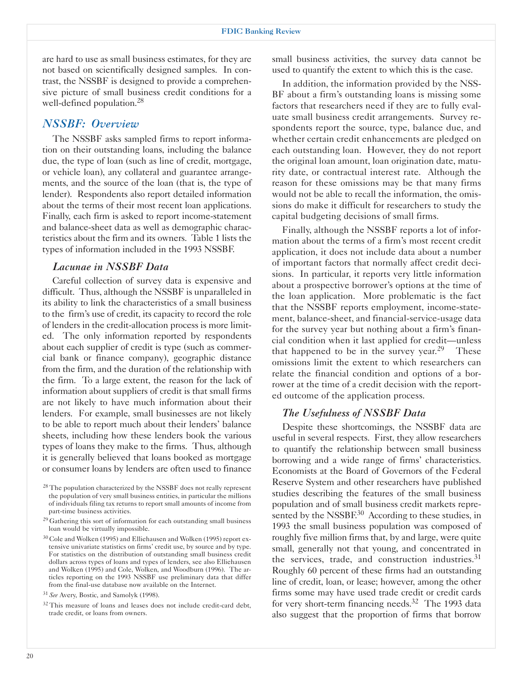are hard to use as small business estimates, for they are not based on scientifically designed samples. In contrast, the NSSBF is designed to provide a comprehensive picture of small business credit conditions for a well-defined population.28

## *NSSBF: Overview*

The NSSBF asks sampled firms to report information on their outstanding loans, including the balance due, the type of loan (such as line of credit, mortgage, or vehicle loan), any collateral and guarantee arrangements, and the source of the loan (that is, the type of lender). Respondents also report detailed information about the terms of their most recent loan applications. Finally, each firm is asked to report income-statement and balance-sheet data as well as demographic characteristics about the firm and its owners. Table 1 lists the types of information included in the 1993 NSSBF.

#### *Lacunae in NSSBF Data*

Careful collection of survey data is expensive and difficult. Thus, although the NSSBF is unparalleled in its ability to link the characteristics of a small business to the firm's use of credit, its capacity to record the role of lenders in the credit-allocation process is more limited. The only information reported by respondents about each supplier of credit is type (such as commercial bank or finance company), geographic distance from the firm, and the duration of the relationship with the firm. To a large extent, the reason for the lack of information about suppliers of credit is that small firms are not likely to have much information about their lenders. For example, small businesses are not likely to be able to report much about their lenders' balance sheets, including how these lenders book the various types of loans they make to the firms. Thus, although it is generally believed that loans booked as mortgage or consumer loans by lenders are often used to finance

small business activities, the survey data cannot be used to quantify the extent to which this is the case.

In addition, the information provided by the NSS-BF about a firm's outstanding loans is missing some factors that researchers need if they are to fully evaluate small business credit arrangements. Survey respondents report the source, type, balance due, and whether certain credit enhancements are pledged on each outstanding loan. However, they do not report the original loan amount, loan origination date, maturity date, or contractual interest rate. Although the reason for these omissions may be that many firms would not be able to recall the information, the omissions do make it difficult for researchers to study the capital budgeting decisions of small firms.

Finally, although the NSSBF reports a lot of information about the terms of a firm's most recent credit application, it does not include data about a number of important factors that normally affect credit decisions. In particular, it reports very little information about a prospective borrower's options at the time of the loan application. More problematic is the fact that the NSSBF reports employment, income-statement, balance-sheet, and financial-service-usage data for the survey year but nothing about a firm's financial condition when it last applied for credit—unless that happened to be in the survey year.<sup>29</sup> These omissions limit the extent to which researchers can relate the financial condition and options of a borrower at the time of a credit decision with the reported outcome of the application process.

#### *The Usefulness of NSSBF Data*

Despite these shortcomings, the NSSBF data are useful in several respects. First, they allow researchers to quantify the relationship between small business borrowing and a wide range of firms' characteristics. Economists at the Board of Governors of the Federal Reserve System and other researchers have published studies describing the features of the small business population and of small business credit markets represented by the NSSBF.<sup>30</sup> According to these studies, in 1993 the small business population was composed of roughly five million firms that, by and large, were quite small, generally not that young, and concentrated in the services, trade, and construction industries.<sup>31</sup> Roughly 60 percent of these firms had an outstanding line of credit, loan, or lease; however, among the other firms some may have used trade credit or credit cards for very short-term financing needs.<sup>32</sup> The 1993 data also suggest that the proportion of firms that borrow

 $^{28}$  The population characterized by the NSSBF does not really represent the population of very small business entities, in particular the millions of individuals filing tax returns to report small amounts of income from part-time business activities.

 $^{29}$  Gathering this sort of information for each outstanding small business loan would be virtually impossible.

<sup>&</sup>lt;sup>30</sup> Cole and Wolken (1995) and Elliehausen and Wolken (1995) report extensive univariate statistics on firms' credit use, by source and by type. For statistics on the distribution of outstanding small business credit dollars across types of loans and types of lenders, see also Elliehausen and Wolken (1995) and Cole, Wolken, and Woodburn (1996). The articles reporting on the 1993 NSSBF use preliminary data that differ from the final-use database now available on the Internet.

<sup>31</sup>*See* Avery, Bostic, and Samolyk (1998).

 $32$  This measure of loans and leases does not include credit-card debt, trade credit, or loans from owners.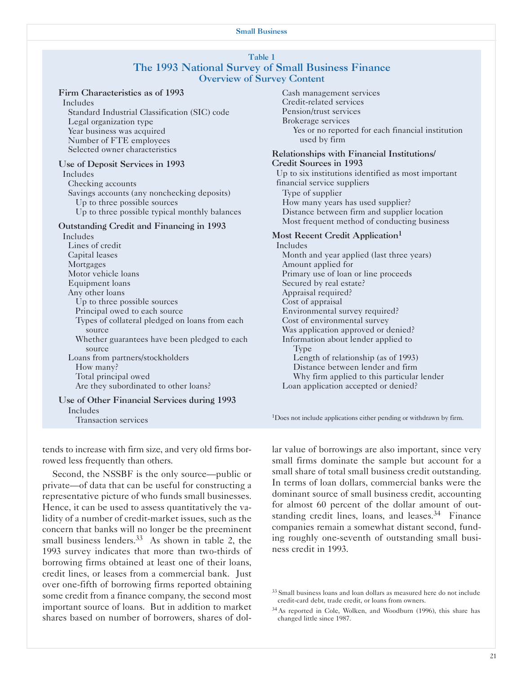#### Small Business

#### Table 1 The 1993 National Survey of Small Business Finance Overview of Survey Content

#### Firm Characteristics as of 1993

Includes Standard Industrial Classification (SIC) code Legal organization type Year business was acquired Number of FTE employees Selected owner characteristics

#### Use of Deposit Services in 1993

Includes Checking accounts Savings accounts (any nonchecking deposits) Up to three possible sources Up to three possible typical monthly balances

#### Outstanding Credit and Financing in 1993

Includes Lines of credit Capital leases **Mortgages** Motor vehicle loans Equipment loans Any other loans Up to three possible sources Principal owed to each source Types of collateral pledged on loans from each source Whether guarantees have been pledged to each source Loans from partners/stockholders How many? Total principal owed Are they subordinated to other loans? Use of Other Financial Services during 1993 Includes

Transaction services

tends to increase with firm size, and very old firms borrowed less frequently than others.

Second, the NSSBF is the only source—public or private—of data that can be useful for constructing a representative picture of who funds small businesses. Hence, it can be used to assess quantitatively the validity of a number of credit-market issues, such as the concern that banks will no longer be the preeminent small business lenders. $33$  As shown in table 2, the 1993 survey indicates that more than two-thirds of borrowing firms obtained at least one of their loans, credit lines, or leases from a commercial bank. Just over one-fifth of borrowing firms reported obtaining some credit from a finance company, the second most important source of loans. But in addition to market shares based on number of borrowers, shares of dol-

Cash management services Credit-related services Pension/trust services Brokerage services Yes or no reported for each financial institution used by firm Relationships with Financial Institutions/ Credit Sources in 1993 Up to six institutions identified as most important financial service suppliers Type of supplier How many years has used supplier? Distance between firm and supplier location

Most frequent method of conducting business

#### Most Recent Credit Application<sup>1</sup>

Includes Month and year applied (last three years) Amount applied for Primary use of loan or line proceeds Secured by real estate? Appraisal required? Cost of appraisal Environmental survey required? Cost of environmental survey Was application approved or denied? Information about lender applied to Type Length of relationship (as of 1993) Distance between lender and firm Why firm applied to this particular lender Loan application accepted or denied?

<sup>1</sup>Does not include applications either pending or withdrawn by firm.

lar value of borrowings are also important, since very small firms dominate the sample but account for a small share of total small business credit outstanding. In terms of loan dollars, commercial banks were the dominant source of small business credit, accounting for almost 60 percent of the dollar amount of outstanding credit lines, loans, and leases.<sup>34</sup> Finance companies remain a somewhat distant second, funding roughly one-seventh of outstanding small business credit in 1993.

<sup>&</sup>lt;sup>33</sup> Small business loans and loan dollars as measured here do not include credit-card debt, trade credit, or loans from owners.

<sup>34</sup> As reported in Cole, Wolken, and Woodburn (1996), this share has changed little since 1987.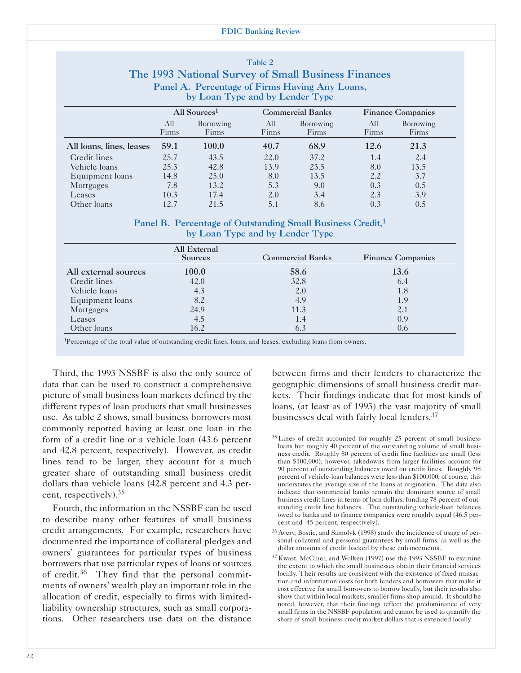#### FDIC Banking Review

Table 2

|                                                |                                                     |                                 | $\bf{1}$ apro $\bf{2}$  |                    |                          |                    |  |
|------------------------------------------------|-----------------------------------------------------|---------------------------------|-------------------------|--------------------|--------------------------|--------------------|--|
|                                                | The 1993 National Survey of Small Business Finances |                                 |                         |                    |                          |                    |  |
| Panel A. Percentage of Firms Having Any Loans, |                                                     |                                 |                         |                    |                          |                    |  |
|                                                |                                                     | by Loan Type and by Lender Type |                         |                    |                          |                    |  |
|                                                | All Sources <sup>1</sup>                            |                                 | <b>Commercial Banks</b> |                    | <b>Finance Companies</b> |                    |  |
|                                                | All<br>Firms                                        | Borrowing<br>Firms              | All<br>Firms            | Borrowing<br>Firms | All<br>Firms             | Borrowing<br>Firms |  |
| All loans, lines, leases                       | 59.1                                                | 100.0                           | 40.7                    | 68.9               | 12.6                     | 21.3               |  |
| Credit lines                                   | 25.7                                                | 43.5                            | 22.0                    | 37.2               | 1.4                      | 2.4                |  |
| Vehicle loans                                  | 25.3                                                | 42.8                            | 13.9                    | 23.5               | 8.0                      | 13.5               |  |
| Equipment loans                                | 14.8                                                | 25.0                            | 8.0                     | 13.5               | 2.2                      | 3.7                |  |
| Mortgages                                      | 7.8                                                 | 13.2                            | 5.3                     | 9.0                | 0.3                      | 0.5                |  |
| Leases                                         | 10.3                                                | 17.4                            | 2.0                     | 3.4                | 2.3                      | 3.9                |  |
| Other loans                                    | 12.7                                                | 21.5                            | 5.1                     | 8.6                | 0.3                      | 0.5                |  |

#### Panel B. Percentage of Outstanding Small Business Credit,<sup>1</sup> by Loan Type and by Lender Type

|                      | <b>All External</b><br><b>Sources</b> | <b>Commercial Banks</b> | <b>Finance Companies</b> |
|----------------------|---------------------------------------|-------------------------|--------------------------|
| All external sources | 100.0                                 | 58.6                    | 13.6                     |
| Credit lines         | 42.0                                  | 32.8                    | 6.4                      |
| Vehicle loans        | 4.3                                   | 2.0                     | 1.8                      |
| Equipment loans      | 8.2                                   | 4.9                     | 1.9                      |
| Mortgages            | 24.9                                  | 11.3                    | 2.1                      |
| Leases               | 4.5                                   | 1.4                     | 0.9                      |
| Other loans          | 16.2                                  | 6.3                     | 0.6                      |

1Percentage of the total value of outstanding credit lines, loans, and leases, excluding loans from owners.

Third, the 1993 NSSBF is also the only source of data that can be used to construct a comprehensive picture of small business loan markets defined by the different types of loan products that small businesses use. As table 2 shows, small business borrowers most commonly reported having at least one loan in the form of a credit line or a vehicle loan (43.6 percent and 42.8 percent, respectively). However, as credit lines tend to be larger, they account for a much greater share of outstanding small business credit dollars than vehicle loans (42.8 percent and 4.3 percent, respectively).35

Fourth, the information in the NSSBF can be used to describe many other features of small business credit arrangements. For example, researchers have documented the importance of collateral pledges and owners' guarantees for particular types of business borrowers that use particular types of loans or sources of credit.<sup>36</sup> They find that the personal commitments of owners' wealth play an important role in the allocation of credit, especially to firms with limitedliability ownership structures, such as small corporations. Other researchers use data on the distance between firms and their lenders to characterize the geographic dimensions of small business credit markets. Their findings indicate that for most kinds of loans, (at least as of 1993) the vast majority of small businesses deal with fairly local lenders.37

- <sup>35</sup> Lines of credit accounted for roughly 25 percent of small business loans but roughly 40 percent of the outstanding volume of small business credit. Roughly 80 percent of credit line facilities are small (less than \$100,000); however, takedowns from larger facilities account for 90 percent of outstanding balances owed on credit lines. Roughly 98 percent of vehicle-loan balances were less than \$100,000; of course, this understates the average size of the loans at origination. The data also indicate that commercial banks remain the dominant source of small business credit lines in terms of loan dollars, funding 78 percent of outstanding credit line balances. The outstanding vehicle-loan balances owed to banks and to finance companies were roughly equal (46.5 percent and 45 percent, respectively).
- 36 Avery, Bostic, and Samolyk (1998) study the incidence of usage of personal collateral and personal guarantees by small firms, as well as the dollar amounts of credit backed by these enhancements.
- 37 Kwast, McCluer, and Wolken (1997) use the 1993 NSSBF to examine the extent to which the small businesses obtain their financial services locally. Their results are consistent with the existence of fixed transaction and information costs for both lenders and borrowers that make it cost effective for small borrowers to borrow locally, but their results also show that within local markets, smaller firms shop around. It should be noted, however, that their findings reflect the predominance of very small firms in the NSSBF population and cannot be used to quantify the share of small business credit market dollars that is extended locally.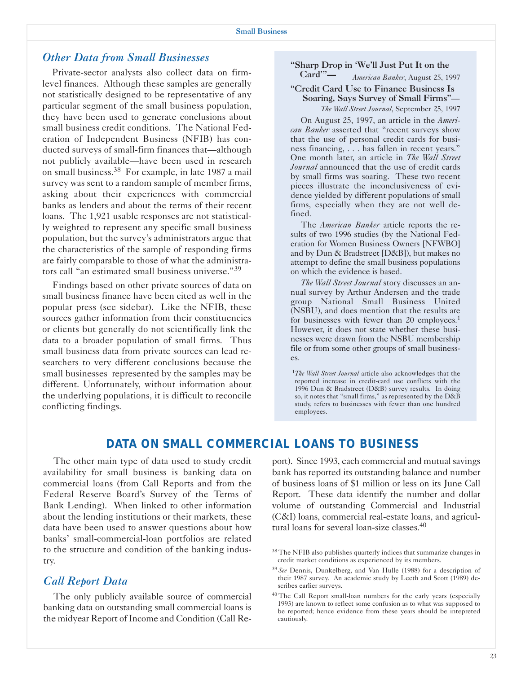## *Other Data from Small Businesses*

Private-sector analysts also collect data on firmlevel finances. Although these samples are generally not statistically designed to be representative of any particular segment of the small business population, they have been used to generate conclusions about small business credit conditions. The National Federation of Independent Business (NFIB) has conducted surveys of small-firm finances that—although not publicly available—have been used in research on small business.38 For example, in late 1987 a mail survey was sent to a random sample of member firms, asking about their experiences with commercial banks as lenders and about the terms of their recent loans. The 1,921 usable responses are not statistically weighted to represent any specific small business population, but the survey's administrators argue that the characteristics of the sample of responding firms are fairly comparable to those of what the administrators call "an estimated small business universe."<sup>39</sup>

Findings based on other private sources of data on small business finance have been cited as well in the popular press (see sidebar). Like the NFIB, these sources gather information from their constituencies or clients but generally do not scientifically link the data to a broader population of small firms. Thus small business data from private sources can lead researchers to very different conclusions because the small businesses represented by the samples may be different. Unfortunately, without information about the underlying populations, it is difficult to reconcile conflicting findings.

## "Sharp Drop in 'We'll Just Put It on the<br>Card'"- $\frac{1}{2}$  Augusta Banker August 25, 11

Card'"— *American Banker*, August 25, 1997

#### "Credit Card Use to Finance Business Is Soaring, Says Survey of Small Firms"— *The Wall Street Journal*, September 25, 1997

On August 25, 1997, an article in the *American Banker* asserted that "recent surveys show that the use of personal credit cards for business financing, . . . has fallen in recent years." One month later, an article in *The Wall Street Journal* announced that the use of credit cards by small firms was soaring. These two recent pieces illustrate the inconclusiveness of evidence yielded by different populations of small firms, especially when they are not well defined.

The *American Banker* article reports the results of two 1996 studies (by the National Federation for Women Business Owners [NFWBO] and by Dun & Bradstreet [D&B]), but makes no attempt to define the small business populations on which the evidence is based.

*The Wall Street Journal* story discusses an annual survey by Arthur Andersen and the trade group National Small Business United (NSBU), and does mention that the results are for businesses with fewer than 20 employees.<sup>1</sup> However, it does not state whether these businesses were drawn from the NSBU membership file or from some other groups of small businesses.

<sup>1</sup>*The Wall Street Journal* article also acknowledges that the reported increase in credit-card use conflicts with the 1996 Dun & Bradstreet (D&B) survey results. In doing so, it notes that "small firms," as represented by the D&B study, refers to businesses with fewer than one hundred employees.

## *DATA ON SMALL COMMERCIAL LOANS TO BUSINESS*

The other main type of data used to study credit availability for small business is banking data on commercial loans (from Call Reports and from the Federal Reserve Board's Survey of the Terms of Bank Lending). When linked to other information about the lending institutions or their markets, these data have been used to answer questions about how banks' small-commercial-loan portfolios are related to the structure and condition of the banking industry.

#### *Call Report Data*

The only publicly available source of commercial banking data on outstanding small commercial loans is the midyear Report of Income and Condition (Call Re-

port). Since 1993, each commercial and mutual savings bank has reported its outstanding balance and number of business loans of \$1 million or less on its June Call Report. These data identify the number and dollar volume of outstanding Commercial and Industrial (C&I) loans, commercial real-estate loans, and agricultural loans for several loan-size classes.<sup>40</sup>

<sup>&</sup>lt;sup>38</sup> The NFIB also publishes quarterly indices that summarize changes in credit market conditions as experienced by its members.

<sup>39</sup>*See* Dennis, Dunkelberg, and Van Hulle (1988) for a description of their 1987 survey. An academic study by Leeth and Scott (1989) describes earlier surveys.

<sup>&</sup>lt;sup>40</sup> The Call Report small-loan numbers for the early years (especially 1993) are known to reflect some confusion as to what was supposed to be reported; hence evidence from these years should be intepreted cautiously.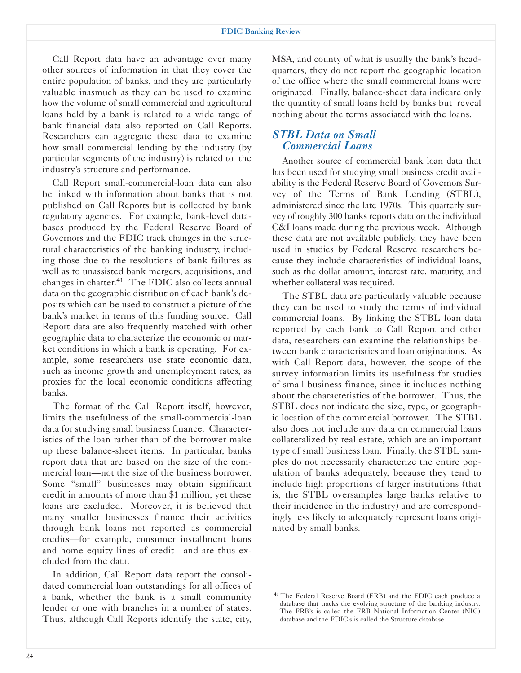Call Report data have an advantage over many other sources of information in that they cover the entire population of banks, and they are particularly valuable inasmuch as they can be used to examine how the volume of small commercial and agricultural loans held by a bank is related to a wide range of bank financial data also reported on Call Reports. Researchers can aggregate these data to examine how small commercial lending by the industry (by particular segments of the industry) is related to the industry's structure and performance.

Call Report small-commercial-loan data can also be linked with information about banks that is not published on Call Reports but is collected by bank regulatory agencies. For example, bank-level databases produced by the Federal Reserve Board of Governors and the FDIC track changes in the structural characteristics of the banking industry, including those due to the resolutions of bank failures as well as to unassisted bank mergers, acquisitions, and changes in charter.<sup>41</sup> The FDIC also collects annual data on the geographic distribution of each bank's deposits which can be used to construct a picture of the bank's market in terms of this funding source. Call Report data are also frequently matched with other geographic data to characterize the economic or market conditions in which a bank is operating. For example, some researchers use state economic data, such as income growth and unemployment rates, as proxies for the local economic conditions affecting banks.

The format of the Call Report itself, however, limits the usefulness of the small-commercial-loan data for studying small business finance. Characteristics of the loan rather than of the borrower make up these balance-sheet items. In particular, banks report data that are based on the size of the commercial loan—not the size of the business borrower. Some "small" businesses may obtain significant credit in amounts of more than \$1 million, yet these loans are excluded. Moreover, it is believed that many smaller businesses finance their activities through bank loans not reported as commercial credits—for example, consumer installment loans and home equity lines of credit—and are thus excluded from the data.

In addition, Call Report data report the consolidated commercial loan outstandings for all offices of a bank, whether the bank is a small community lender or one with branches in a number of states. Thus, although Call Reports identify the state, city,

MSA, and county of what is usually the bank's headquarters, they do not report the geographic location of the office where the small commercial loans were originated. Finally, balance-sheet data indicate only the quantity of small loans held by banks but reveal nothing about the terms associated with the loans.

## *STBL Data on Small Commercial Loans*

Another source of commercial bank loan data that has been used for studying small business credit availability is the Federal Reserve Board of Governors Survey of the Terms of Bank Lending (STBL), administered since the late 1970s. This quarterly survey of roughly 300 banks reports data on the individual C&I loans made during the previous week. Although these data are not available publicly, they have been used in studies by Federal Reserve researchers because they include characteristics of individual loans, such as the dollar amount, interest rate, maturity, and whether collateral was required.

The STBL data are particularly valuable because they can be used to study the terms of individual commercial loans. By linking the STBL loan data reported by each bank to Call Report and other data, researchers can examine the relationships between bank characteristics and loan originations. As with Call Report data, however, the scope of the survey information limits its usefulness for studies of small business finance, since it includes nothing about the characteristics of the borrower. Thus, the STBL does not indicate the size, type, or geographic location of the commercial borrower. The STBL also does not include any data on commercial loans collateralized by real estate, which are an important type of small business loan. Finally, the STBL samples do not necessarily characterize the entire population of banks adequately, because they tend to include high proportions of larger institutions (that is, the STBL oversamples large banks relative to their incidence in the industry) and are correspondingly less likely to adequately represent loans originated by small banks.

<sup>&</sup>lt;sup>41</sup> The Federal Reserve Board (FRB) and the FDIC each produce a database that tracks the evolving structure of the banking industry. The FRB's is called the FRB National Information Center (NIC) database and the FDIC's is called the Structure database.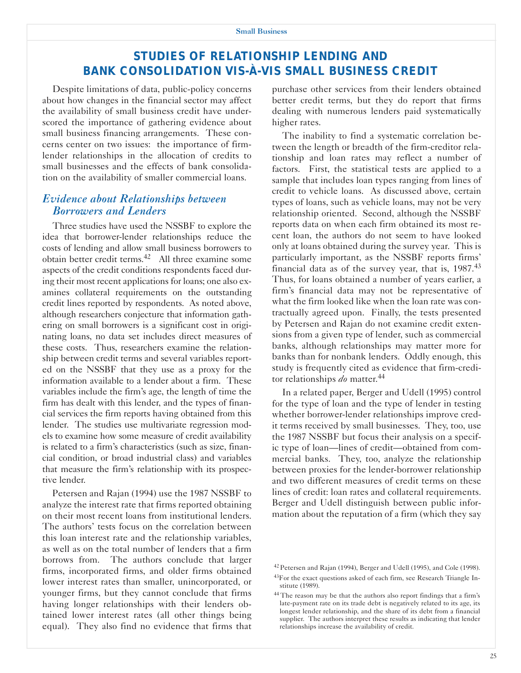## *STUDIES OF RELATIONSHIP LENDING AND BANK CONSOLIDATION VIS-À-VIS SMALL BUSINESS CREDIT*

Despite limitations of data, public-policy concerns about how changes in the financial sector may affect the availability of small business credit have underscored the importance of gathering evidence about small business financing arrangements. These concerns center on two issues: the importance of firmlender relationships in the allocation of credits to small businesses and the effects of bank consolidation on the availability of smaller commercial loans.

## *Evidence about Relationships between Borrowers and Lenders*

Three studies have used the NSSBF to explore the idea that borrower-lender relationships reduce the costs of lending and allow small business borrowers to obtain better credit terms.42 All three examine some aspects of the credit conditions respondents faced during their most recent applications for loans; one also examines collateral requirements on the outstanding credit lines reported by respondents. As noted above, although researchers conjecture that information gathering on small borrowers is a significant cost in originating loans, no data set includes direct measures of these costs. Thus, researchers examine the relationship between credit terms and several variables reported on the NSSBF that they use as a proxy for the information available to a lender about a firm. These variables include the firm's age, the length of time the firm has dealt with this lender, and the types of financial services the firm reports having obtained from this lender. The studies use multivariate regression models to examine how some measure of credit availability is related to a firm's characteristics (such as size, financial condition, or broad industrial class) and variables that measure the firm's relationship with its prospective lender.

Petersen and Rajan (1994) use the 1987 NSSBF to analyze the interest rate that firms reported obtaining on their most recent loans from institutional lenders. The authors' tests focus on the correlation between this loan interest rate and the relationship variables, as well as on the total number of lenders that a firm borrows from. The authors conclude that larger firms, incorporated firms, and older firms obtained lower interest rates than smaller, unincorporated, or younger firms, but they cannot conclude that firms having longer relationships with their lenders obtained lower interest rates (all other things being equal). They also find no evidence that firms that purchase other services from their lenders obtained better credit terms, but they do report that firms dealing with numerous lenders paid systematically higher rates.

The inability to find a systematic correlation between the length or breadth of the firm-creditor relationship and loan rates may reflect a number of factors. First, the statistical tests are applied to a sample that includes loan types ranging from lines of credit to vehicle loans. As discussed above, certain types of loans, such as vehicle loans, may not be very relationship oriented. Second, although the NSSBF reports data on when each firm obtained its most recent loan, the authors do not seem to have looked only at loans obtained during the survey year. This is particularly important, as the NSSBF reports firms' financial data as of the survey year, that is,  $1987<sup>43</sup>$ Thus, for loans obtained a number of years earlier, a firm's financial data may not be representative of what the firm looked like when the loan rate was contractually agreed upon. Finally, the tests presented by Petersen and Rajan do not examine credit extensions from a given type of lender, such as commercial banks, although relationships may matter more for banks than for nonbank lenders. Oddly enough, this study is frequently cited as evidence that firm-creditor relationships *do* matter.44

In a related paper, Berger and Udell (1995) control for the type of loan and the type of lender in testing whether borrower-lender relationships improve credit terms received by small businesses. They, too, use the 1987 NSSBF but focus their analysis on a specific type of loan—lines of credit—obtained from commercial banks. They, too, analyze the relationship between proxies for the lender-borrower relationship and two different measures of credit terms on these lines of credit: loan rates and collateral requirements. Berger and Udell distinguish between public information about the reputation of a firm (which they say

<sup>42</sup> Petersen and Rajan (1994), Berger and Udell (1995), and Cole (1998).

<sup>&</sup>lt;sup>43</sup>For the exact questions asked of each firm, see Research Triangle Institute (1989).

<sup>&</sup>lt;sup>44</sup> The reason may be that the authors also report findings that a firm's late-payment rate on its trade debt is negatively related to its age, its longest lender relationship, and the share of its debt from a financial supplier. The authors interpret these results as indicating that lender relationships increase the availability of credit.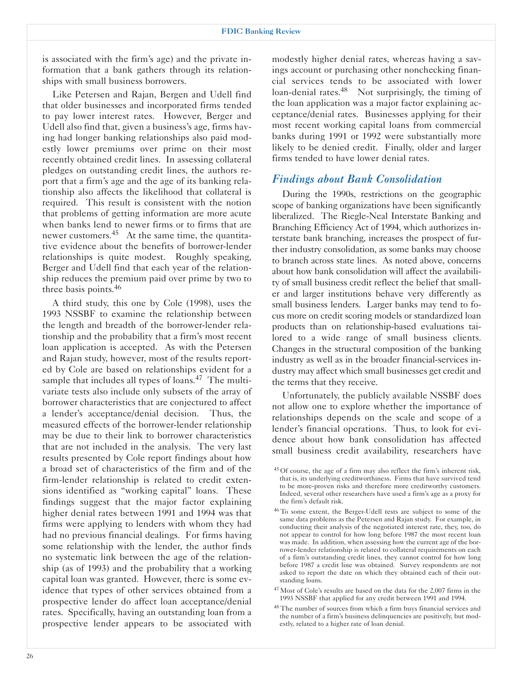is associated with the firm's age) and the private information that a bank gathers through its relationships with small business borrowers.

Like Petersen and Rajan, Bergen and Udell find that older businesses and incorporated firms tended to pay lower interest rates. However, Berger and Udell also find that, given a business's age, firms having had longer banking relationships also paid modestly lower premiums over prime on their most recently obtained credit lines. In assessing collateral pledges on outstanding credit lines, the authors report that a firm's age and the age of its banking relationship also affects the likelihood that collateral is required. This result is consistent with the notion that problems of getting information are more acute when banks lend to newer firms or to firms that are newer customers.<sup>45</sup> At the same time, the quantitative evidence about the benefits of borrower-lender relationships is quite modest. Roughly speaking, Berger and Udell find that each year of the relationship reduces the premium paid over prime by two to three basis points.<sup>46</sup>

A third study, this one by Cole (1998), uses the 1993 NSSBF to examine the relationship between the length and breadth of the borrower-lender relationship and the probability that a firm's most recent loan application is accepted. As with the Petersen and Rajan study, however, most of the results reported by Cole are based on relationships evident for a sample that includes all types of loans.<sup>47</sup> The multivariate tests also include only subsets of the array of borrower characteristics that are conjectured to affect a lender's acceptance/denial decision. Thus, the measured effects of the borrower-lender relationship may be due to their link to borrower characteristics that are not included in the analysis. The very last results presented by Cole report findings about how a broad set of characteristics of the firm and of the firm-lender relationship is related to credit extensions identified as "working capital" loans. These findings suggest that the major factor explaining higher denial rates between 1991 and 1994 was that firms were applying to lenders with whom they had had no previous financial dealings. For firms having some relationship with the lender, the author finds no systematic link between the age of the relationship (as of 1993) and the probability that a working capital loan was granted. However, there is some evidence that types of other services obtained from a prospective lender do affect loan acceptance/denial rates. Specifically, having an outstanding loan from a prospective lender appears to be associated with

modestly higher denial rates, whereas having a savings account or purchasing other nonchecking financial services tends to be associated with lower loan-denial rates.<sup>48</sup> Not surprisingly, the timing of the loan application was a major factor explaining acceptance/denial rates. Businesses applying for their most recent working capital loans from commercial banks during 1991 or 1992 were substantially more likely to be denied credit. Finally, older and larger firms tended to have lower denial rates.

## *Findings about Bank Consolidation*

During the 1990s, restrictions on the geographic scope of banking organizations have been significantly liberalized. The Riegle-Neal Interstate Banking and Branching Efficiency Act of 1994, which authorizes interstate bank branching, increases the prospect of further industry consolidation, as some banks may choose to branch across state lines. As noted above, concerns about how bank consolidation will affect the availability of small business credit reflect the belief that smaller and larger institutions behave very differently as small business lenders. Larger banks may tend to focus more on credit scoring models or standardized loan products than on relationship-based evaluations tailored to a wide range of small business clients. Changes in the structural composition of the banking industry as well as in the broader financial-services industry may affect which small businesses get credit and the terms that they receive.

Unfortunately, the publicly available NSSBF does not allow one to explore whether the importance of relationships depends on the scale and scope of a lender's financial operations. Thus, to look for evidence about how bank consolidation has affected small business credit availability, researchers have

<sup>45</sup> Of course, the age of a firm may also reflect the firm's inherent risk, that is, its underlying creditworthiness. Firms that have survived tend to be more-proven risks and therefore more creditworthy customers. Indeed, several other researchers have used a firm's age as a proxy for the firm's default risk.

<sup>&</sup>lt;sup>46</sup> To some extent, the Berger-Udell tests are subject to some of the same data problems as the Petersen and Rajan study. For example, in conducting their analysis of the negotiated interest rate, they, too, do not appear to control for how long before 1987 the most recent loan was made. In addition, when assessing how the current age of the borrower-lender relationship is related to collateral requirements on each of a firm's outstanding credit lines, they cannot control for how long before 1987 a credit line was obtained. Survey respondents are not asked to report the date on which they obtained each of their outstanding loans.

<sup>&</sup>lt;sup>47</sup> Most of Cole's results are based on the data for the 2,007 firms in the 1993 NSSBF that applied for any credit between 1991 and 1994.

<sup>&</sup>lt;sup>48</sup> The number of sources from which a firm buys financial services and the number of a firm's business delinquencies are positively, but modestly, related to a higher rate of loan denial.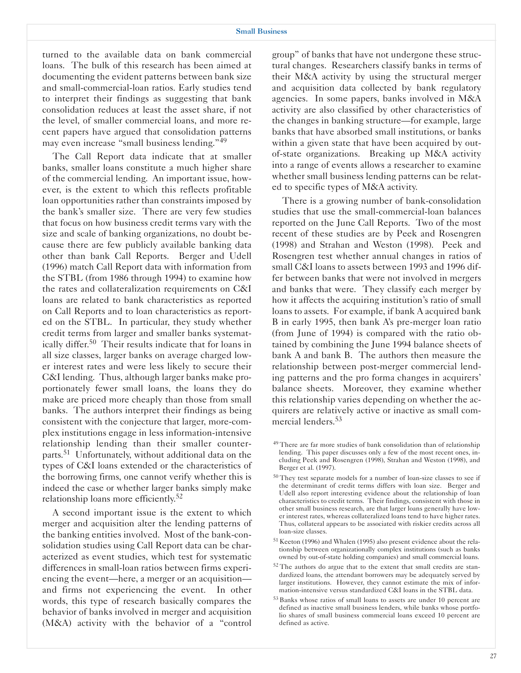turned to the available data on bank commercial loans. The bulk of this research has been aimed at documenting the evident patterns between bank size and small-commercial-loan ratios. Early studies tend to interpret their findings as suggesting that bank consolidation reduces at least the asset share, if not the level, of smaller commercial loans, and more recent papers have argued that consolidation patterns may even increase "small business lending."<sup>49</sup>

The Call Report data indicate that at smaller banks, smaller loans constitute a much higher share of the commercial lending. An important issue, however, is the extent to which this reflects profitable loan opportunities rather than constraints imposed by the bank's smaller size. There are very few studies that focus on how business credit terms vary with the size and scale of banking organizations, no doubt because there are few publicly available banking data other than bank Call Reports. Berger and Udell (1996) match Call Report data with information from the STBL (from 1986 through 1994) to examine how the rates and collateralization requirements on C&I loans are related to bank characteristics as reported on Call Reports and to loan characteristics as reported on the STBL. In particular, they study whether credit terms from larger and smaller banks systematically differ.50 Their results indicate that for loans in all size classes, larger banks on average charged lower interest rates and were less likely to secure their C&I lending. Thus, although larger banks make proportionately fewer small loans, the loans they do make are priced more cheaply than those from small banks. The authors interpret their findings as being consistent with the conjecture that larger, more-complex institutions engage in less information-intensive relationship lending than their smaller counterparts.51 Unfortunately, without additional data on the types of C&I loans extended or the characteristics of the borrowing firms, one cannot verify whether this is indeed the case or whether larger banks simply make relationship loans more efficiently.<sup>52</sup>

A second important issue is the extent to which merger and acquisition alter the lending patterns of the banking entities involved. Most of the bank-consolidation studies using Call Report data can be characterized as event studies, which test for systematic differences in small-loan ratios between firms experiencing the event—here, a merger or an acquisition and firms not experiencing the event. In other words, this type of research basically compares the behavior of banks involved in merger and acquisition (M&A) activity with the behavior of a "control

group" of banks that have not undergone these structural changes. Researchers classify banks in terms of their M&A activity by using the structural merger and acquisition data collected by bank regulatory agencies. In some papers, banks involved in M&A activity are also classified by other characteristics of the changes in banking structure—for example, large banks that have absorbed small institutions, or banks within a given state that have been acquired by outof-state organizations. Breaking up M&A activity into a range of events allows a researcher to examine whether small business lending patterns can be related to specific types of M&A activity.

There is a growing number of bank-consolidation studies that use the small-commercial-loan balances reported on the June Call Reports. Two of the most recent of these studies are by Peek and Rosengren (1998) and Strahan and Weston (1998). Peek and Rosengren test whether annual changes in ratios of small C&I loans to assets between 1993 and 1996 differ between banks that were not involved in mergers and banks that were. They classify each merger by how it affects the acquiring institution's ratio of small loans to assets. For example, if bank A acquired bank B in early 1995, then bank A's pre-merger loan ratio (from June of 1994) is compared with the ratio obtained by combining the June 1994 balance sheets of bank A and bank B. The authors then measure the relationship between post-merger commercial lending patterns and the pro forma changes in acquirers' balance sheets. Moreover, they examine whether this relationship varies depending on whether the acquirers are relatively active or inactive as small commercial lenders.<sup>53</sup>

- 51 Keeton (1996) and Whalen (1995) also present evidence about the relationship between organizationally complex institutions (such as banks owned by out-of-state holding companies) and small commercial loans.
- <sup>52</sup> The authors do argue that to the extent that small credits are standardized loans, the attendant borrowers may be adequately served by larger institutions. However, they cannot estimate the mix of information-intensive versus standardized C&I loans in the STBL data.
- 53 Banks whose ratios of small loans to assets are under 10 percent are defined as inactive small business lenders, while banks whose portfolio shares of small business commercial loans exceed 10 percent are defined as active.

<sup>49</sup> There are far more studies of bank consolidation than of relationship lending. This paper discusses only a few of the most recent ones, including Peek and Rosengren (1998), Strahan and Weston (1998), and Berger et al. (1997).

<sup>50</sup> They test separate models for a number of loan-size classes to see if the determinant of credit terms differs with loan size. Berger and Udell also report interesting evidence about the relationship of loan characteristics to credit terms. Their findings, consistent with those in other small business research, are that larger loans generally have lower interest rates, whereas collateralized loans tend to have higher rates. Thus, collateral appears to be associated with riskier credits across all loan-size classes.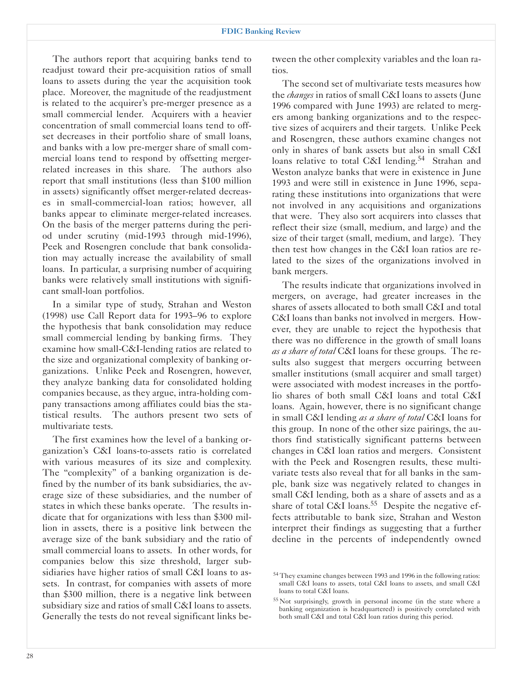The authors report that acquiring banks tend to readjust toward their pre-acquisition ratios of small loans to assets during the year the acquisition took place. Moreover, the magnitude of the readjustment is related to the acquirer's pre-merger presence as a small commercial lender. Acquirers with a heavier concentration of small commercial loans tend to offset decreases in their portfolio share of small loans, and banks with a low pre-merger share of small commercial loans tend to respond by offsetting mergerrelated increases in this share. The authors also report that small institutions (less than \$100 million in assets) significantly offset merger-related decreases in small-commercial-loan ratios; however, all banks appear to eliminate merger-related increases. On the basis of the merger patterns during the period under scrutiny (mid-1993 through mid-1996), Peek and Rosengren conclude that bank consolidation may actually increase the availability of small loans. In particular, a surprising number of acquiring banks were relatively small institutions with significant small-loan portfolios.

In a similar type of study, Strahan and Weston (1998) use Call Report data for 1993–96 to explore the hypothesis that bank consolidation may reduce small commercial lending by banking firms. They examine how small-C&I-lending ratios are related to the size and organizational complexity of banking organizations. Unlike Peek and Rosengren, however, they analyze banking data for consolidated holding companies because, as they argue, intra-holding company transactions among affiliates could bias the statistical results. The authors present two sets of multivariate tests.

The first examines how the level of a banking organization's C&I loans-to-assets ratio is correlated with various measures of its size and complexity. The "complexity" of a banking organization is defined by the number of its bank subsidiaries, the average size of these subsidiaries, and the number of states in which these banks operate. The results indicate that for organizations with less than \$300 million in assets, there is a positive link between the average size of the bank subsidiary and the ratio of small commercial loans to assets. In other words, for companies below this size threshold, larger subsidiaries have higher ratios of small C&I loans to assets. In contrast, for companies with assets of more than \$300 million, there is a negative link between subsidiary size and ratios of small C&I loans to assets. Generally the tests do not reveal significant links between the other complexity variables and the loan ratios.

The second set of multivariate tests measures how the *changes* in ratios of small C&I loans to assets (June 1996 compared with June 1993) are related to mergers among banking organizations and to the respective sizes of acquirers and their targets. Unlike Peek and Rosengren, these authors examine changes not only in shares of bank assets but also in small C&I loans relative to total C&I lending.<sup>54</sup> Strahan and Weston analyze banks that were in existence in June 1993 and were still in existence in June 1996, separating these institutions into organizations that were not involved in any acquisitions and organizations that were. They also sort acquirers into classes that reflect their size (small, medium, and large) and the size of their target (small, medium, and large). They then test how changes in the C&I loan ratios are related to the sizes of the organizations involved in bank mergers.

The results indicate that organizations involved in mergers, on average, had greater increases in the shares of assets allocated to both small C&I and total C&I loans than banks not involved in mergers. However, they are unable to reject the hypothesis that there was no difference in the growth of small loans *as a share of total* C&I loans for these groups. The results also suggest that mergers occurring between smaller institutions (small acquirer and small target) were associated with modest increases in the portfolio shares of both small C&I loans and total C&I loans. Again, however, there is no significant change in small C&I lending *as a share of total* C&I loans for this group. In none of the other size pairings, the authors find statistically significant patterns between changes in C&I loan ratios and mergers. Consistent with the Peek and Rosengren results, these multivariate tests also reveal that for all banks in the sample, bank size was negatively related to changes in small C&I lending, both as a share of assets and as a share of total C&I loans.<sup>55</sup> Despite the negative effects attributable to bank size, Strahan and Weston interpret their findings as suggesting that a further decline in the percents of independently owned

<sup>&</sup>lt;sup>54</sup> They examine changes between 1993 and 1996 in the following ratios: small C&I loans to assets, total C&I loans to assets, and small C&I loans to total C&I loans.

<sup>55</sup> Not surprisingly, growth in personal income (in the state where a banking organization is headquartered) is positively correlated with both small C&I and total C&I loan ratios during this period.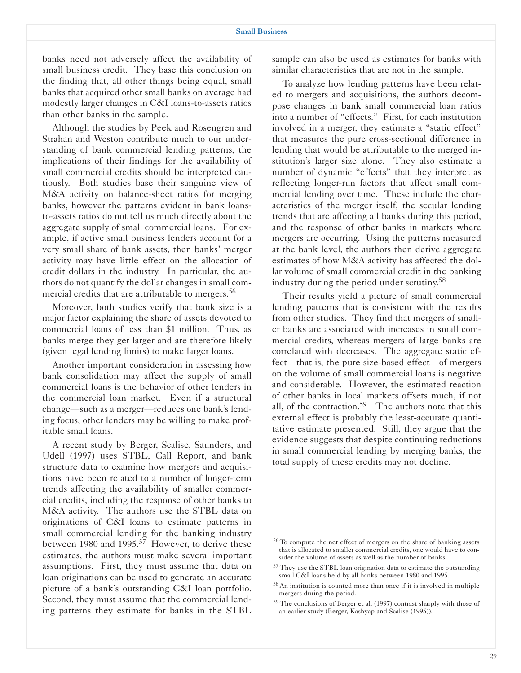banks need not adversely affect the availability of small business credit. They base this conclusion on the finding that, all other things being equal, small banks that acquired other small banks on average had modestly larger changes in C&I loans-to-assets ratios than other banks in the sample.

Although the studies by Peek and Rosengren and Strahan and Weston contribute much to our understanding of bank commercial lending patterns, the implications of their findings for the availability of small commercial credits should be interpreted cautiously. Both studies base their sanguine view of M&A activity on balance-sheet ratios for merging banks, however the patterns evident in bank loansto-assets ratios do not tell us much directly about the aggregate supply of small commercial loans. For example, if active small business lenders account for a very small share of bank assets, then banks' merger activity may have little effect on the allocation of credit dollars in the industry. In particular, the authors do not quantify the dollar changes in small commercial credits that are attributable to mergers.<sup>56</sup>

Moreover, both studies verify that bank size is a major factor explaining the share of assets devoted to commercial loans of less than \$1 million. Thus, as banks merge they get larger and are therefore likely (given legal lending limits) to make larger loans.

Another important consideration in assessing how bank consolidation may affect the supply of small commercial loans is the behavior of other lenders in the commercial loan market. Even if a structural change—such as a merger—reduces one bank's lending focus, other lenders may be willing to make profitable small loans.

A recent study by Berger, Scalise, Saunders, and Udell (1997) uses STBL, Call Report, and bank structure data to examine how mergers and acquisitions have been related to a number of longer-term trends affecting the availability of smaller commercial credits, including the response of other banks to M&A activity. The authors use the STBL data on originations of C&I loans to estimate patterns in small commercial lending for the banking industry between 1980 and 1995.<sup>57</sup> However, to derive these estimates, the authors must make several important assumptions. First, they must assume that data on loan originations can be used to generate an accurate picture of a bank's outstanding C&I loan portfolio. Second, they must assume that the commercial lending patterns they estimate for banks in the STBL

sample can also be used as estimates for banks with similar characteristics that are not in the sample.

To analyze how lending patterns have been related to mergers and acquisitions, the authors decompose changes in bank small commercial loan ratios into a number of "effects." First, for each institution involved in a merger, they estimate a "static effect" that measures the pure cross-sectional difference in lending that would be attributable to the merged institution's larger size alone. They also estimate a number of dynamic "effects" that they interpret as reflecting longer-run factors that affect small commercial lending over time. These include the characteristics of the merger itself, the secular lending trends that are affecting all banks during this period, and the response of other banks in markets where mergers are occurring. Using the patterns measured at the bank level, the authors then derive aggregate estimates of how M&A activity has affected the dollar volume of small commercial credit in the banking industry during the period under scrutiny.58

Their results yield a picture of small commercial lending patterns that is consistent with the results from other studies. They find that mergers of smaller banks are associated with increases in small commercial credits, whereas mergers of large banks are correlated with decreases. The aggregate static effect—that is, the pure size-based effect—of mergers on the volume of small commercial loans is negative and considerable. However, the estimated reaction of other banks in local markets offsets much, if not all, of the contraction. $59$  The authors note that this external effect is probably the least-accurate quantitative estimate presented. Still, they argue that the evidence suggests that despite continuing reductions in small commercial lending by merging banks, the total supply of these credits may not decline.

<sup>56</sup> To compute the net effect of mergers on the share of banking assets that is allocated to smaller commercial credits, one would have to consider the volume of assets as well as the number of banks.

<sup>57</sup> They use the STBL loan origination data to estimate the outstanding small C&I loans held by all banks between 1980 and 1995.

<sup>58</sup> An institution is counted more than once if it is involved in multiple mergers during the period.

<sup>59</sup> The conclusions of Berger et al. (1997) contrast sharply with those of an earlier study (Berger, Kashyap and Scalise (1995)).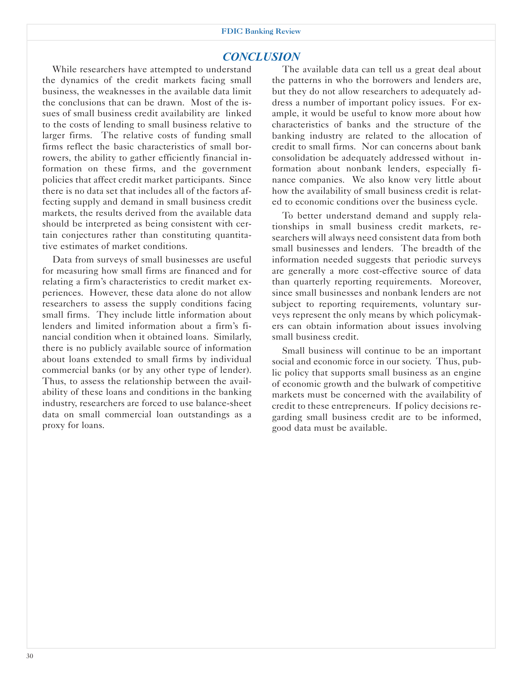### *CONCLUSION*

While researchers have attempted to understand the dynamics of the credit markets facing small business, the weaknesses in the available data limit the conclusions that can be drawn. Most of the issues of small business credit availability are linked to the costs of lending to small business relative to larger firms. The relative costs of funding small firms reflect the basic characteristics of small borrowers, the ability to gather efficiently financial information on these firms, and the government policies that affect credit market participants. Since there is no data set that includes all of the factors affecting supply and demand in small business credit markets, the results derived from the available data should be interpreted as being consistent with certain conjectures rather than constituting quantitative estimates of market conditions.

Data from surveys of small businesses are useful for measuring how small firms are financed and for relating a firm's characteristics to credit market experiences. However, these data alone do not allow researchers to assess the supply conditions facing small firms. They include little information about lenders and limited information about a firm's financial condition when it obtained loans. Similarly, there is no publicly available source of information about loans extended to small firms by individual commercial banks (or by any other type of lender). Thus, to assess the relationship between the availability of these loans and conditions in the banking industry, researchers are forced to use balance-sheet data on small commercial loan outstandings as a proxy for loans.

The available data can tell us a great deal about the patterns in who the borrowers and lenders are, but they do not allow researchers to adequately address a number of important policy issues. For example, it would be useful to know more about how characteristics of banks and the structure of the banking industry are related to the allocation of credit to small firms. Nor can concerns about bank consolidation be adequately addressed without information about nonbank lenders, especially finance companies. We also know very little about how the availability of small business credit is related to economic conditions over the business cycle.

To better understand demand and supply relationships in small business credit markets, researchers will always need consistent data from both small businesses and lenders. The breadth of the information needed suggests that periodic surveys are generally a more cost-effective source of data than quarterly reporting requirements. Moreover, since small businesses and nonbank lenders are not subject to reporting requirements, voluntary surveys represent the only means by which policymakers can obtain information about issues involving small business credit.

Small business will continue to be an important social and economic force in our society. Thus, public policy that supports small business as an engine of economic growth and the bulwark of competitive markets must be concerned with the availability of credit to these entrepreneurs. If policy decisions regarding small business credit are to be informed, good data must be available.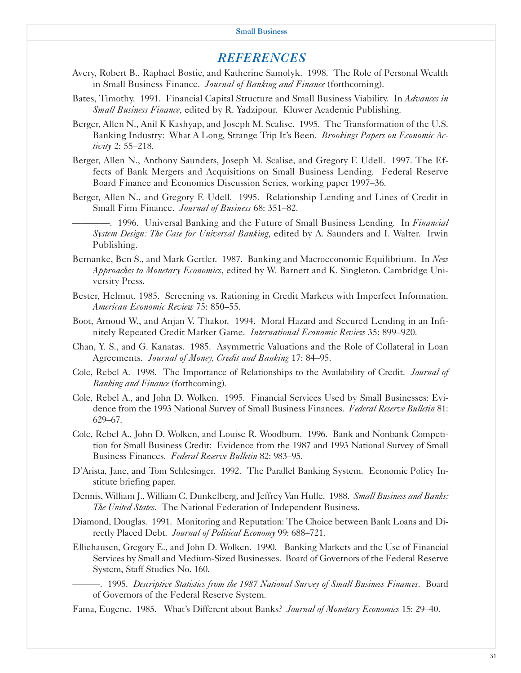## *REFERENCES*

- Avery, Robert B., Raphael Bostic, and Katherine Samolyk. 1998. The Role of Personal Wealth in Small Business Finance. *Journal of Banking and Finance* (forthcoming).
- Bates, Timothy. 1991. Financial Capital Structure and Small Business Viability. In *Advances in Small Business Finance*, edited by R. Yadzipour. Kluwer Academic Publishing.
- Berger, Allen N., Anil K Kashyap, and Joseph M. Scalise. 1995. The Transformation of the U.S. Banking Industry: What A Long, Strange Trip It's Been. *Brookings Papers on Economic Activity* 2: 55–218.
- Berger, Allen N., Anthony Saunders, Joseph M. Scalise, and Gregory F. Udell. 1997. The Effects of Bank Mergers and Acquisitions on Small Business Lending. Federal Reserve Board Finance and Economics Discussion Series, working paper 1997–36.
- Berger, Allen N., and Gregory F. Udell. 1995. Relationship Lending and Lines of Credit in Small Firm Finance. *Journal of Business* 68: 351–82.
	- ————. 1996. Universal Banking and the Future of Small Business Lending. In *Financial System Design: The Case for Universal Banking*, edited by A. Saunders and I. Walter. Irwin Publishing.
- Bernanke, Ben S., and Mark Gertler. 1987. Banking and Macroeconomic Equilibrium. In *New Approaches to Monetary Economics*, edited by W. Barnett and K. Singleton. Cambridge University Press.
- Bester, Helmut. 1985. Screening vs. Rationing in Credit Markets with Imperfect Information. *American Economic Review* 75: 850–55.
- Boot, Arnoud W., and Anjan V. Thakor. 1994. Moral Hazard and Secured Lending in an Infinitely Repeated Credit Market Game. *International Economic Review* 35: 899–920.
- Chan, Y. S., and G. Kanatas. 1985. Asymmetric Valuations and the Role of Collateral in Loan Agreements. *Journal of Money, Credit and Banking* 17: 84–95.
- Cole, Rebel A. 1998. The Importance of Relationships to the Availability of Credit. *Journal of Banking and Finance* (forthcoming).
- Cole, Rebel A., and John D. Wolken. 1995. Financial Services Used by Small Businesses: Evidence from the 1993 National Survey of Small Business Finances. *Federal Reserve Bulletin* 81: 629–67.
- Cole, Rebel A., John D. Wolken, and Louise R. Woodburn. 1996. Bank and Nonbank Competition for Small Business Credit: Evidence from the 1987 and 1993 National Survey of Small Business Finances. *Federal Reserve Bulletin* 82: 983–95.
- D'Arista, Jane, and Tom Schlesinger. 1992. The Parallel Banking System. Economic Policy Institute briefing paper.
- Dennis, William J., William C. Dunkelberg, and Jeffrey Van Hulle. 1988. *Small Business and Banks: The United States*. The National Federation of Independent Business.
- Diamond, Douglas. 1991. Monitoring and Reputation: The Choice between Bank Loans and Directly Placed Debt. *Journal of Political Economy* 99: 688–721.
- Elliehausen, Gregory E., and John D. Wolken. 1990. Banking Markets and the Use of Financial Services by Small and Medium-Sized Businesses. Board of Governors of the Federal Reserve System, Staff Studies No. 160.

———. 1995. *Descriptive Statistics from the 1987 National Survey of Small Business Finances*. Board of Governors of the Federal Reserve System.

Fama, Eugene. 1985. What's Different about Banks? *Journal of Monetary Economics* 15: 29–40.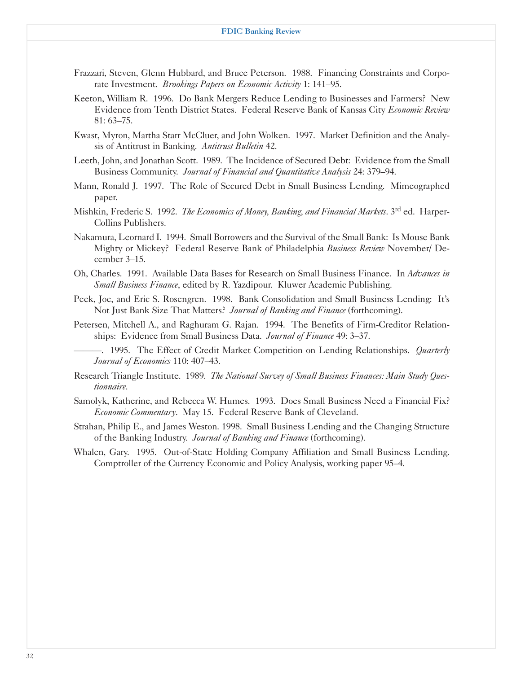- Frazzari, Steven, Glenn Hubbard, and Bruce Peterson. 1988. Financing Constraints and Corporate Investment. *Brookings Papers on Economic Activity* 1: 141–95.
- Keeton, William R. 1996. Do Bank Mergers Reduce Lending to Businesses and Farmers? New Evidence from Tenth District States. Federal Reserve Bank of Kansas City *Economic Review*  81: 63–75.
- Kwast, Myron, Martha Starr McCluer, and John Wolken. 1997. Market Definition and the Analysis of Antitrust in Banking. *Antitrust Bulletin* 42.
- Leeth, John, and Jonathan Scott. 1989. The Incidence of Secured Debt: Evidence from the Small Business Community. *Journal of Financial and Quantitative Analysis* 24: 379–94.
- Mann, Ronald J. 1997. The Role of Secured Debt in Small Business Lending. Mimeographed paper.
- Mishkin, Frederic S. 1992. *The Economics of Money, Banking, and Financial Markets*. 3rd ed. Harper-Collins Publishers.
- Nakamura, Leornard I. 1994. Small Borrowers and the Survival of the Small Bank: Is Mouse Bank Mighty or Mickey? Federal Reserve Bank of Philadelphia *Business Review* November/ December 3–15.
- Oh, Charles. 1991. Available Data Bases for Research on Small Business Finance. In *Advances in Small Business Finance*, edited by R. Yazdipour. Kluwer Academic Publishing.
- Peek, Joe, and Eric S. Rosengren. 1998. Bank Consolidation and Small Business Lending: It's Not Just Bank Size That Matters? *Journal of Banking and Finance* (forthcoming).
- Petersen, Mitchell A., and Raghuram G. Rajan. 1994. The Benefits of Firm-Creditor Relationships: Evidence from Small Business Data. *Journal of Finance* 49: 3–37.
	- ———. 1995. The Effect of Credit Market Competition on Lending Relationships. *Quarterly Journal of Economics* 110: 407–43.
- Research Triangle Institute. 1989. *The National Survey of Small Business Finances: Main Study Questionnaire*.
- Samolyk, Katherine, and Rebecca W. Humes. 1993. Does Small Business Need a Financial Fix? *Economic Commentary*. May 15. Federal Reserve Bank of Cleveland.
- Strahan, Philip E., and James Weston. 1998. Small Business Lending and the Changing Structure of the Banking Industry. *Journal of Banking and Finance* (forthcoming).
- Whalen, Gary. 1995. Out-of-State Holding Company Affiliation and Small Business Lending. Comptroller of the Currency Economic and Policy Analysis, working paper 95–4.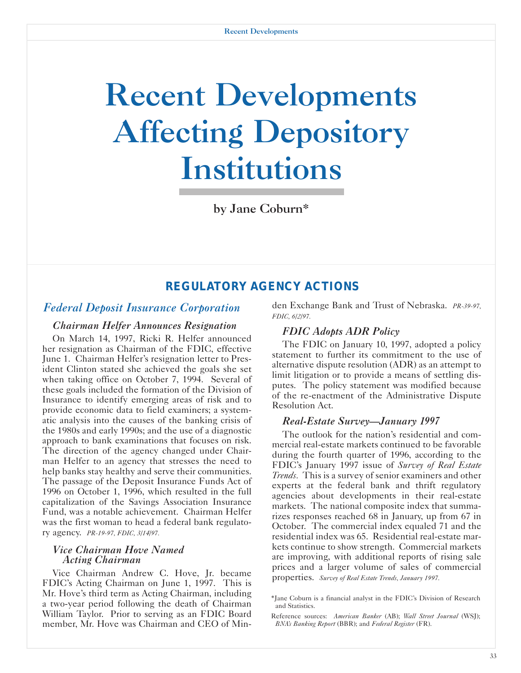# Recent Developments Affecting Depository Institutions

by Jane Coburn\*

## *REGULATORY AGENCY ACTIONS*

## *Federal Deposit Insurance Corporation*

#### *Chairman Helfer Announces Resignation*

On March 14, 1997, Ricki R. Helfer announced her resignation as Chairman of the FDIC, effective June 1. Chairman Helfer's resignation letter to President Clinton stated she achieved the goals she set when taking office on October 7, 1994. Several of these goals included the formation of the Division of Insurance to identify emerging areas of risk and to provide economic data to field examiners; a systematic analysis into the causes of the banking crisis of the 1980s and early 1990s; and the use of a diagnostic approach to bank examinations that focuses on risk. The direction of the agency changed under Chairman Helfer to an agency that stresses the need to help banks stay healthy and serve their communities. The passage of the Deposit Insurance Funds Act of 1996 on October 1, 1996, which resulted in the full capitalization of the Savings Association Insurance Fund, was a notable achievement. Chairman Helfer was the first woman to head a federal bank regulatory agency. *PR-19-97, FDIC, 3/14/97.* 

#### *Vice Chairman Hove Named Acting Chairman*

Vice Chairman Andrew C. Hove, Jr. became FDIC's Acting Chairman on June 1, 1997. This is Mr. Hove's third term as Acting Chairman, including a two-year period following the death of Chairman William Taylor. Prior to serving as an FDIC Board member, Mr. Hove was Chairman and CEO of Minden Exchange Bank and Trust of Nebraska. *PR-39-97, FDIC, 6/2/97.* 

#### *FDIC Adopts ADR Policy*

The FDIC on January 10, 1997, adopted a policy statement to further its commitment to the use of alternative dispute resolution (ADR) as an attempt to limit litigation or to provide a means of settling disputes. The policy statement was modified because of the re-enactment of the Administrative Dispute Resolution Act.

#### *Real-Estate Survey—January 1997*

The outlook for the nation's residential and commercial real-estate markets continued to be favorable during the fourth quarter of 1996, according to the FDIC's January 1997 issue of *Survey of Real Estate Trends.* This is a survey of senior examiners and other experts at the federal bank and thrift regulatory agencies about developments in their real-estate markets. The national composite index that summarizes responses reached 68 in January, up from 67 in October. The commercial index equaled 71 and the residential index was 65. Residential real-estate markets continue to show strength. Commercial markets are improving, with additional reports of rising sale prices and a larger volume of sales of commercial properties. *Survey of Real Estate Trends, January 1997.* 

<sup>\*</sup>Jane Coburn is a financial analyst in the FDIC's Division of Research and Statistics.

Reference sources: *American Banker* (AB); *Wall Street Journal* (WSJ); *BNA's Banking Report* (BBR); and *Federal Register* (FR).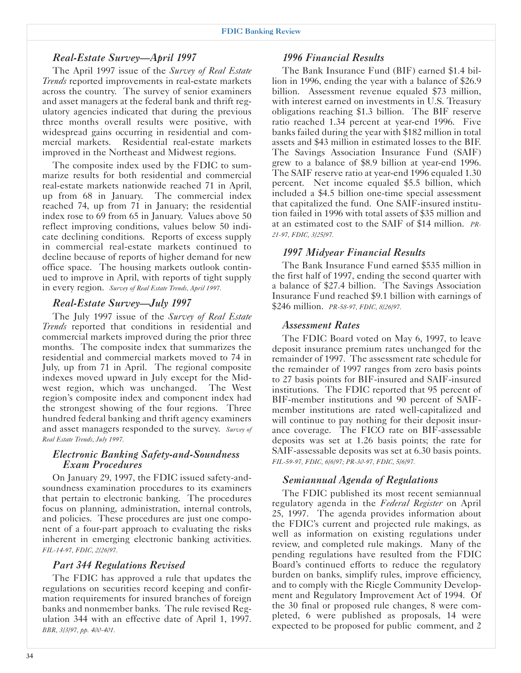## *Real-Estate Survey—April 1997*

The April 1997 issue of the *Survey of Real Estate Trends* reported improvements in real-estate markets across the country. The survey of senior examiners and asset managers at the federal bank and thrift regulatory agencies indicated that during the previous three months overall results were positive, with widespread gains occurring in residential and commercial markets. Residential real-estate markets improved in the Northeast and Midwest regions.

The composite index used by the FDIC to summarize results for both residential and commercial real-estate markets nationwide reached 71 in April, up from 68 in January. The commercial index reached 74, up from 71 in January; the residential index rose to 69 from 65 in January. Values above 50 reflect improving conditions, values below 50 indicate declining conditions. Reports of excess supply in commercial real-estate markets continued to decline because of reports of higher demand for new office space. The housing markets outlook continued to improve in April, with reports of tight supply in every region. *Survey of Real Estate Trends, April 1997.* 

## *Real-Estate Survey—July 1997*

The July 1997 issue of the *Survey of Real Estate Trends* reported that conditions in residential and commercial markets improved during the prior three months. The composite index that summarizes the residential and commercial markets moved to 74 in July, up from 71 in April. The regional composite indexes moved upward in July except for the Midwest region, which was unchanged. The West region's composite index and component index had the strongest showing of the four regions. Three hundred federal banking and thrift agency examiners and asset managers responded to the survey. *Survey of Real Estate Trends, July 1997.* 

#### *Electronic Banking Safety-and-Soundness Exam Procedures*

On January 29, 1997, the FDIC issued safety-andsoundness examination procedures to its examiners that pertain to electronic banking. The procedures focus on planning, administration, internal controls, and policies. These procedures are just one component of a four-part approach to evaluating the risks inherent in emerging electronic banking activities. *FIL-14-97, FDIC, 2/26/97.* 

## *Part 344 Regulations Revised*

The FDIC has approved a rule that updates the regulations on securities record keeping and confirmation requirements for insured branches of foreign banks and nonmember banks. The rule revised Regulation 344 with an effective date of April 1, 1997. *BBR, 3/3/97, pp. 400-401.* 

## *1996 Financial Results*

The Bank Insurance Fund (BIF) earned \$1.4 billion in 1996, ending the year with a balance of \$26.9 billion. Assessment revenue equaled \$73 million, with interest earned on investments in U.S. Treasury obligations reaching \$1.3 billion. The BIF reserve ratio reached 1.34 percent at year-end 1996. Five banks failed during the year with \$182 million in total assets and \$43 million in estimated losses to the BIF. The Savings Association Insurance Fund (SAIF) grew to a balance of \$8.9 billion at year-end 1996. The SAIF reserve ratio at year-end 1996 equaled 1.30 percent. Net income equaled \$5.5 billion, which included a \$4.5 billion one-time special assessment that capitalized the fund. One SAIF-insured institution failed in 1996 with total assets of \$35 million and at an estimated cost to the SAIF of \$14 million. *PR-21-97, FDIC, 3/25/97.* 

## *1997 Midyear Financial Results*

The Bank Insurance Fund earned \$535 million in the first half of 1997, ending the second quarter with a balance of \$27.4 billion. The Savings Association Insurance Fund reached \$9.1 billion with earnings of \$246 million. *PR-58-97, FDIC, 8/26/97.* 

## *Assessment Rates*

The FDIC Board voted on May 6, 1997, to leave deposit insurance premium rates unchanged for the remainder of 1997. The assessment rate schedule for the remainder of 1997 ranges from zero basis points to 27 basis points for BIF-insured and SAIF-insured institutions. The FDIC reported that 95 percent of BIF-member institutions and 90 percent of SAIFmember institutions are rated well-capitalized and will continue to pay nothing for their deposit insurance coverage. The FICO rate on BIF-assessable deposits was set at 1.26 basis points; the rate for SAIF-assessable deposits was set at 6.30 basis points. *FIL-59-97, FDIC, 6/6/97; PR-30-97, FDIC, 5/6/97.* 

## *Semiannual Agenda of Regulations*

The FDIC published its most recent semiannual regulatory agenda in the *Federal Register* on April 25, 1997. The agenda provides information about the FDIC's current and projected rule makings, as well as information on existing regulations under review, and completed rule makings. Many of the pending regulations have resulted from the FDIC Board's continued efforts to reduce the regulatory burden on banks, simplify rules, improve efficiency, and to comply with the Riegle Community Development and Regulatory Improvement Act of 1994. Of the 30 final or proposed rule changes, 8 were completed, 6 were published as proposals, 14 were expected to be proposed for public comment, and 2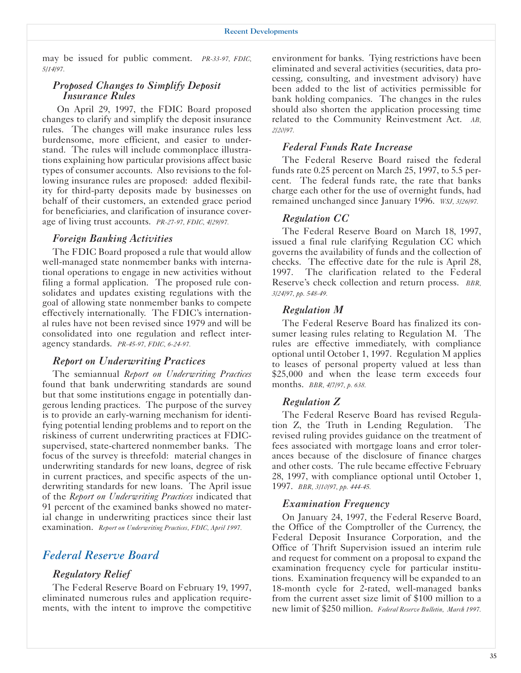may be issued for public comment. *PR-33-97, FDIC, 5/14/97.* 

#### *Proposed Changes to Simplify Deposit Insurance Rules*

On April 29, 1997, the FDIC Board proposed changes to clarify and simplify the deposit insurance rules. The changes will make insurance rules less burdensome, more efficient, and easier to understand. The rules will include commonplace illustrations explaining how particular provisions affect basic types of consumer accounts. Also revisions to the following insurance rules are proposed: added flexibility for third-party deposits made by businesses on behalf of their customers, an extended grace period for beneficiaries, and clarification of insurance coverage of living trust accounts. *PR-27-97, FDIC, 4/29/97.* 

#### *Foreign Banking Activities*

The FDIC Board proposed a rule that would allow well-managed state nonmember banks with international operations to engage in new activities without filing a formal application. The proposed rule consolidates and updates existing regulations with the goal of allowing state nonmember banks to compete effectively internationally. The FDIC's international rules have not been revised since 1979 and will be consolidated into one regulation and reflect interagency standards. *PR-45-97, FDIC, 6-24-97.* 

#### *Report on Underwriting Practices*

The semiannual *Report on Underwriting Practices*  found that bank underwriting standards are sound but that some institutions engage in potentially dangerous lending practices. The purpose of the survey is to provide an early-warning mechanism for identifying potential lending problems and to report on the riskiness of current underwriting practices at FDICsupervised, state-chartered nonmember banks. The focus of the survey is threefold: material changes in underwriting standards for new loans, degree of risk in current practices, and specific aspects of the underwriting standards for new loans. The April issue of the *Report on Underwriting Practices* indicated that 91 percent of the examined banks showed no material change in underwriting practices since their last examination. *Report on Underwriting Practices, FDIC, April 1997.* 

## *Federal Reserve Board*

#### *Regulatory Relief*

The Federal Reserve Board on February 19, 1997, eliminated numerous rules and application requirements, with the intent to improve the competitive

environment for banks. Tying restrictions have been eliminated and several activities (securities, data processing, consulting, and investment advisory) have been added to the list of activities permissible for bank holding companies. The changes in the rules should also shorten the application processing time related to the Community Reinvestment Act. *AB, 2/20/97.* 

#### *Federal Funds Rate Increase*

The Federal Reserve Board raised the federal funds rate 0.25 percent on March 25, 1997, to 5.5 percent. The federal funds rate, the rate that banks charge each other for the use of overnight funds, had remained unchanged since January 1996. *WSJ, 3/26/97.* 

#### *Regulation CC*

The Federal Reserve Board on March 18, 1997, issued a final rule clarifying Regulation CC which governs the availability of funds and the collection of checks. The effective date for the rule is April 28, 1997. The clarification related to the Federal Reserve's check collection and return process. *BBR, 3/24/97, pp. 548-49.* 

#### *Regulation M*

The Federal Reserve Board has finalized its consumer leasing rules relating to Regulation M. The rules are effective immediately, with compliance optional until October 1, 1997. Regulation M applies to leases of personal property valued at less than \$25,000 and when the lease term exceeds four months. *BBR, 4/7/97, p. 638.* 

#### *Regulation Z*

The Federal Reserve Board has revised Regulation Z, the Truth in Lending Regulation. The revised ruling provides guidance on the treatment of fees associated with mortgage loans and error tolerances because of the disclosure of finance charges and other costs. The rule became effective February 28, 1997, with compliance optional until October 1, 1997. *BBR, 3/10/97, pp. 444-45.* 

#### *Examination Frequency*

On January 24, 1997, the Federal Reserve Board, the Office of the Comptroller of the Currency, the Federal Deposit Insurance Corporation, and the Office of Thrift Supervision issued an interim rule and request for comment on a proposal to expand the examination frequency cycle for particular institutions. Examination frequency will be expanded to an 18-month cycle for 2-rated, well-managed banks from the current asset size limit of \$100 million to a new limit of \$250 million. *Federal Reserve Bulletin, March 1997.*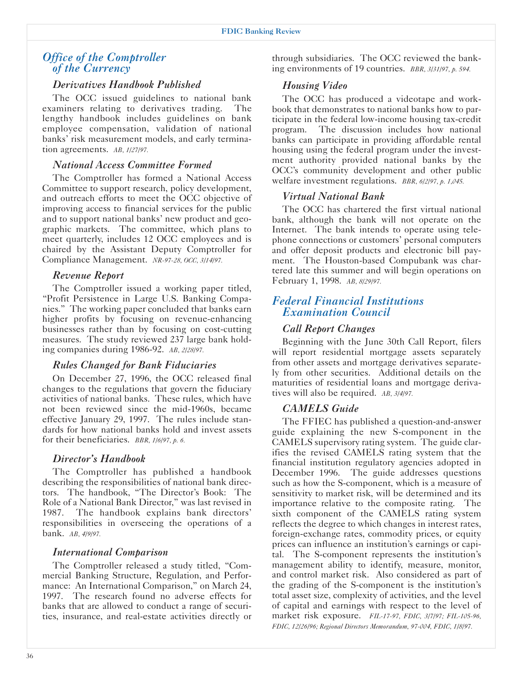## *Office of the Comptroller of the Currency*

#### *Derivatives Handbook Published*

The OCC issued guidelines to national bank examiners relating to derivatives trading. The lengthy handbook includes guidelines on bank employee compensation, validation of national banks' risk measurement models, and early termination agreements. *AB, 1/27/97.* 

#### *National Access Committee Formed*

The Comptroller has formed a National Access Committee to support research, policy development, and outreach efforts to meet the OCC objective of improving access to financial services for the public and to support national banks' new product and geographic markets. The committee, which plans to meet quarterly, includes 12 OCC employees and is chaired by the Assistant Deputy Comptroller for Compliance Management. *NR-97-28, OCC, 3/14/97.* 

#### *Revenue Report*

The Comptroller issued a working paper titled, "Profit Persistence in Large U.S. Banking Companies." The working paper concluded that banks earn higher profits by focusing on revenue-enhancing businesses rather than by focusing on cost-cutting measures. The study reviewed 237 large bank holding companies during 1986-92. *AB, 2/28/97.* 

#### *Rules Changed for Bank Fiduciaries*

On December 27, 1996, the OCC released final changes to the regulations that govern the fiduciary activities of national banks. These rules, which have not been reviewed since the mid-1960s, became effective January 29, 1997. The rules include standards for how national banks hold and invest assets for their beneficiaries. *BBR, 1/6/97, p. 6.* 

#### *Director's Handbook*

The Comptroller has published a handbook describing the responsibilities of national bank directors. The handbook, "The Director's Book: The Role of a National Bank Director," was last revised in 1987. The handbook explains bank directors' responsibilities in overseeing the operations of a bank. *AB, 4/9/97.* 

#### *International Comparison*

The Comptroller released a study titled, "Commercial Banking Structure, Regulation, and Performance: An International Comparison," on March 24, 1997. The research found no adverse effects for banks that are allowed to conduct a range of securities, insurance, and real-estate activities directly or through subsidiaries. The OCC reviewed the banking environments of 19 countries. *BBR, 3/31/97, p. 594.* 

#### *Housing Video*

The OCC has produced a videotape and workbook that demonstrates to national banks how to participate in the federal low-income housing tax-credit program. The discussion includes how national banks can participate in providing affordable rental housing using the federal program under the investment authority provided national banks by the OCC's community development and other public welfare investment regulations. *BBR, 6/2/97, p. 1,045.* 

## *Virtual National Bank*

The OCC has chartered the first virtual national bank, although the bank will not operate on the Internet. The bank intends to operate using telephone connections or customers' personal computers and offer deposit products and electronic bill payment. The Houston-based Compubank was chartered late this summer and will begin operations on February 1, 1998. *AB, 8/29/97.* 

## *Federal Financial Institutions Examination Council*

## *Call Report Changes*

Beginning with the June 30th Call Report, filers will report residential mortgage assets separately from other assets and mortgage derivatives separately from other securities. Additional details on the maturities of residential loans and mortgage derivatives will also be required. *AB, 3/4/97.* 

#### *CAMELS Guide*

The FFIEC has published a question-and-answer guide explaining the new S-component in the CAMELS supervisory rating system. The guide clarifies the revised CAMELS rating system that the financial institution regulatory agencies adopted in December 1996. The guide addresses questions such as how the S-component, which is a measure of sensitivity to market risk, will be determined and its importance relative to the composite rating. The sixth component of the CAMELS rating system reflects the degree to which changes in interest rates, foreign-exchange rates, commodity prices, or equity prices can influence an institution's earnings or capital. The S-component represents the institution's management ability to identify, measure, monitor, and control market risk. Also considered as part of the grading of the S-component is the institution's total asset size, complexity of activities, and the level of capital and earnings with respect to the level of market risk exposure. *FIL-17-97, FDIC, 3/7/97; FIL-105-96, FDIC, 12/26/96; Regional Directors Memorandum, 97-004, FDIC, 1/8/97.*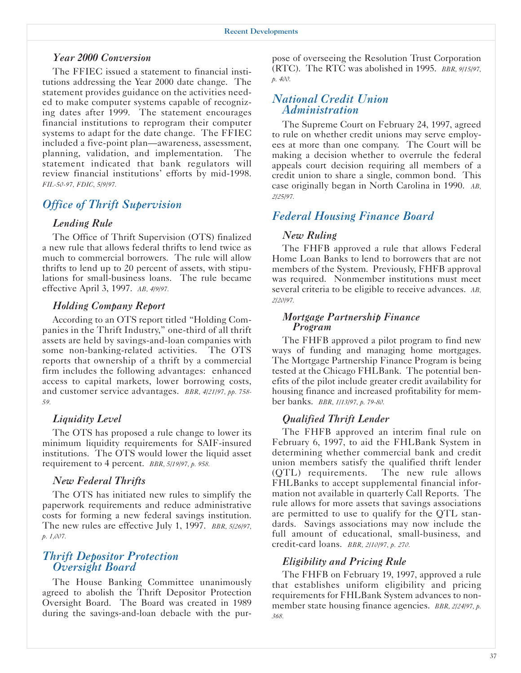#### *Year 2000 Conversion*

The FFIEC issued a statement to financial institutions addressing the Year 2000 date change. The statement provides guidance on the activities needed to make computer systems capable of recognizing dates after 1999. The statement encourages financial institutions to reprogram their computer systems to adapt for the date change. The FFIEC included a five-point plan—awareness, assessment, planning, validation, and implementation. The statement indicated that bank regulators will review financial institutions' efforts by mid-1998. *FIL-50-97, FDIC, 5/9/97.* 

## *Office of Thrift Supervision*

#### *Lending Rule*

The Office of Thrift Supervision (OTS) finalized a new rule that allows federal thrifts to lend twice as much to commercial borrowers. The rule will allow thrifts to lend up to 20 percent of assets, with stipulations for small-business loans. The rule became effective April 3, 1997. *AB, 4/9/97.* 

#### *Holding Company Report*

According to an OTS report titled "Holding Companies in the Thrift Industry," one-third of all thrift assets are held by savings-and-loan companies with some non-banking-related activities. The OTS reports that ownership of a thrift by a commercial firm includes the following advantages: enhanced access to capital markets, lower borrowing costs, and customer service advantages. *BBR, 4/21/97, pp. 758 59.* 

#### *Liquidity Level*

The OTS has proposed a rule change to lower its minimum liquidity requirements for SAIF-insured institutions. The OTS would lower the liquid asset requirement to 4 percent. *BBR, 5/19/97, p. 958.* 

#### *New Federal Thrifts*

The OTS has initiated new rules to simplify the paperwork requirements and reduce administrative costs for forming a new federal savings institution. The new rules are effective July 1, 1997. *BBR, 5/26/97, p. 1,007.* 

## *Thrift Depositor Protection Oversight Board*

The House Banking Committee unanimously agreed to abolish the Thrift Depositor Protection Oversight Board. The Board was created in 1989 during the savings-and-loan debacle with the pur-

pose of overseeing the Resolution Trust Corporation (RTC). The RTC was abolished in 1995. *BBR, 9/15/97, p. 400.* 

## *National Credit Union Administration*

The Supreme Court on February 24, 1997, agreed to rule on whether credit unions may serve employees at more than one company. The Court will be making a decision whether to overrule the federal appeals court decision requiring all members of a credit union to share a single, common bond. This case originally began in North Carolina in 1990. *AB, 2/25/97.* 

## *Federal Housing Finance Board*

#### *New Ruling*

The FHFB approved a rule that allows Federal Home Loan Banks to lend to borrowers that are not members of the System. Previously, FHFB approval was required. Nonmember institutions must meet several criteria to be eligible to receive advances. *AB, 2/20/97.* 

#### *Mortgage Partnership Finance Program*

The FHFB approved a pilot program to find new ways of funding and managing home mortgages. The Mortgage Partnership Finance Program is being tested at the Chicago FHLBank. The potential benefits of the pilot include greater credit availability for housing finance and increased profitability for member banks. *BBR, 1/13/97, p. 79-80.* 

## *Qualified Thrift Lender*

The FHFB approved an interim final rule on February 6, 1997, to aid the FHLBank System in determining whether commercial bank and credit union members satisfy the qualified thrift lender (QTL) requirements. The new rule allows FHLBanks to accept supplemental financial information not available in quarterly Call Reports. The rule allows for more assets that savings associations are permitted to use to qualify for the QTL standards. Savings associations may now include the full amount of educational, small-business, and credit-card loans. *BBR, 2/10/97, p. 270.* 

#### *Eligibility and Pricing Rule*

The FHFB on February 19, 1997, approved a rule that establishes uniform eligibility and pricing requirements for FHLBank System advances to nonmember state housing finance agencies. *BBR, 2/24/97, p. 368.*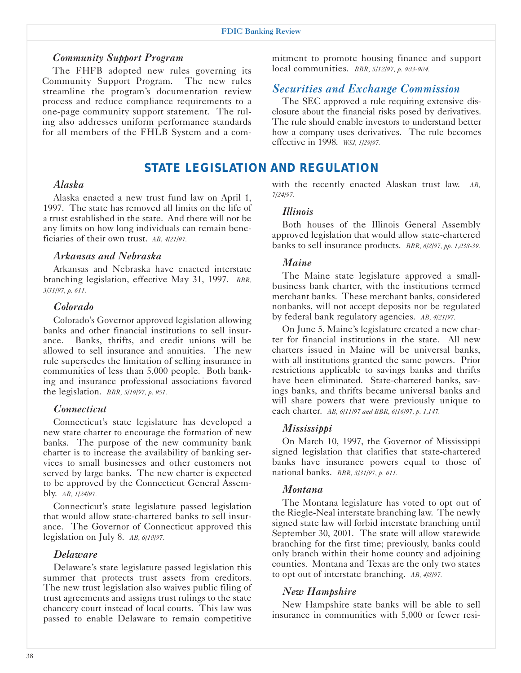#### *Community Support Program*

The FHFB adopted new rules governing its Community Support Program. The new rules streamline the program's documentation review process and reduce compliance requirements to a one-page community support statement. The ruling also addresses uniform performance standards for all members of the FHLB System and a com-

## *STATE LEGISLATION AND REGULATION*

#### *Alaska*

Alaska enacted a new trust fund law on April 1, 1997. The state has removed all limits on the life of a trust established in the state. And there will not be any limits on how long individuals can remain beneficiaries of their own trust. *AB, 4/21/97.* 

#### *Arkansas and Nebraska*

Arkansas and Nebraska have enacted interstate branching legislation, effective May 31, 1997. *BBR, 3/31/97, p. 611.* 

#### *Colorado*

Colorado's Governor approved legislation allowing banks and other financial institutions to sell insurance. Banks, thrifts, and credit unions will be allowed to sell insurance and annuities. The new rule supersedes the limitation of selling insurance in communities of less than 5,000 people. Both banking and insurance professional associations favored the legislation. *BBR, 5/19/97, p. 951.* 

#### *Connecticut*

Connecticut's state legislature has developed a new state charter to encourage the formation of new banks. The purpose of the new community bank charter is to increase the availability of banking services to small businesses and other customers not served by large banks. The new charter is expected to be approved by the Connecticut General Assembly. *AB, 1/24/97.* 

Connecticut's state legislature passed legislation that would allow state-chartered banks to sell insurance. The Governor of Connecticut approved this legislation on July 8. *AB, 6/10/97.* 

#### *Delaware*

Delaware's state legislature passed legislation this summer that protects trust assets from creditors. The new trust legislation also waives public filing of trust agreements and assigns trust rulings to the state chancery court instead of local courts. This law was passed to enable Delaware to remain competitive mitment to promote housing finance and support local communities. *BBR, 5/12/97, p. 903-904.* 

## *Securities and Exchange Commission*

The SEC approved a rule requiring extensive disclosure about the financial risks posed by derivatives. The rule should enable investors to understand better how a company uses derivatives. The rule becomes effective in 1998. *WSJ, 1/29/97.* 

with the recently enacted Alaskan trust law. *AB, 7/24/97.* 

#### *Illinois*

Both houses of the Illinois General Assembly approved legislation that would allow state-chartered banks to sell insurance products. *BBR, 6/2/97, pp. 1,038-39.* 

#### *Maine*

The Maine state legislature approved a smallbusiness bank charter, with the institutions termed merchant banks. These merchant banks, considered nonbanks, will not accept deposits nor be regulated by federal bank regulatory agencies. *AB, 4/21/97.* 

On June 5, Maine's legislature created a new charter for financial institutions in the state. All new charters issued in Maine will be universal banks, with all institutions granted the same powers. Prior restrictions applicable to savings banks and thrifts have been eliminated. State-chartered banks, savings banks, and thrifts became universal banks and will share powers that were previously unique to each charter. *AB, 6/11/97 and BBR, 6/16/97, p. 1,147.* 

#### *Mississippi*

On March 10, 1997, the Governor of Mississippi signed legislation that clarifies that state-chartered banks have insurance powers equal to those of national banks. *BBR, 3/31/97, p. 611.* 

#### *Montana*

The Montana legislature has voted to opt out of the Riegle-Neal interstate branching law. The newly signed state law will forbid interstate branching until September 30, 2001. The state will allow statewide branching for the first time; previously, banks could only branch within their home county and adjoining counties. Montana and Texas are the only two states to opt out of interstate branching. *AB, 4/8/97.* 

#### *New Hampshire*

New Hampshire state banks will be able to sell insurance in communities with 5,000 or fewer resi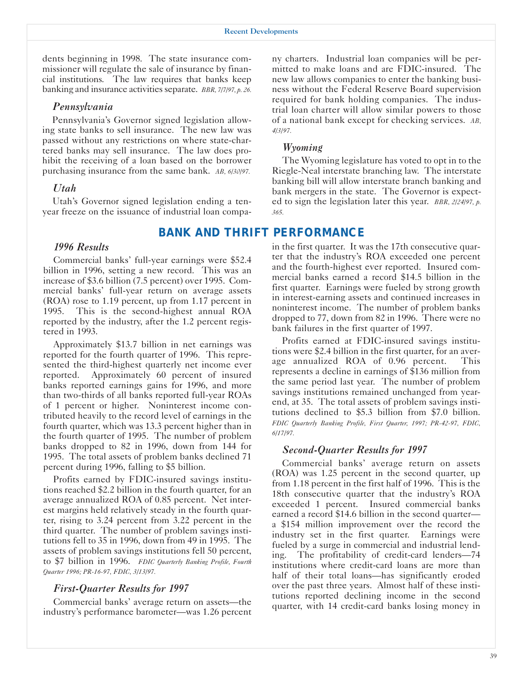dents beginning in 1998. The state insurance commissioner will regulate the sale of insurance by financial institutions. The law requires that banks keep banking and insurance activities separate. *BBR, 7/7/97, p. 26.* 

#### *Pennsylvania*

Pennsylvania's Governor signed legislation allowing state banks to sell insurance. The new law was passed without any restrictions on where state-chartered banks may sell insurance. The law does prohibit the receiving of a loan based on the borrower purchasing insurance from the same bank. *AB, 6/30/97.* 

#### *Utah*

Utah's Governor signed legislation ending a tenyear freeze on the issuance of industrial loan compa-

## *BANK AND THRIFT PERFORMANCE*

#### *1996 Results*

Commercial banks' full-year earnings were \$52.4 billion in 1996, setting a new record. This was an increase of \$3.6 billion (7.5 percent) over 1995. Commercial banks' full-year return on average assets (ROA) rose to 1.19 percent, up from 1.17 percent in 1995. This is the second-highest annual ROA reported by the industry, after the 1.2 percent registered in 1993.

Approximately \$13.7 billion in net earnings was reported for the fourth quarter of 1996. This represented the third-highest quarterly net income ever reported. Approximately 60 percent of insured banks reported earnings gains for 1996, and more than two-thirds of all banks reported full-year ROAs of 1 percent or higher. Noninterest income contributed heavily to the record level of earnings in the fourth quarter, which was 13.3 percent higher than in the fourth quarter of 1995. The number of problem banks dropped to 82 in 1996, down from 144 for 1995. The total assets of problem banks declined 71 percent during 1996, falling to \$5 billion.

Profits earned by FDIC-insured savings institutions reached \$2.2 billion in the fourth quarter, for an average annualized ROA of 0.85 percent. Net interest margins held relatively steady in the fourth quarter, rising to 3.24 percent from 3.22 percent in the third quarter. The number of problem savings institutions fell to 35 in 1996, down from 49 in 1995. The assets of problem savings institutions fell 50 percent, to \$7 billion in 1996. *FDIC Quarterly Banking Profile, Fourth Quarter 1996; PR-16-97, FDIC, 3/13/97.* 

#### *First-Quarter Results for 1997*

Commercial banks' average return on assets—the industry's performance barometer—was 1.26 percent ny charters. Industrial loan companies will be permitted to make loans and are FDIC-insured. The new law allows companies to enter the banking business without the Federal Reserve Board supervision required for bank holding companies. The industrial loan charter will allow similar powers to those of a national bank except for checking services. *AB, 4/3/97.* 

#### *Wyoming*

The Wyoming legislature has voted to opt in to the Riegle-Neal interstate branching law. The interstate banking bill will allow interstate branch banking and bank mergers in the state. The Governor is expected to sign the legislation later this year. *BBR, 2/24/97, p. 365.* 

in the first quarter. It was the 17th consecutive quarter that the industry's ROA exceeded one percent and the fourth-highest ever reported. Insured commercial banks earned a record \$14.5 billion in the first quarter. Earnings were fueled by strong growth in interest-earning assets and continued increases in noninterest income. The number of problem banks dropped to 77, down from 82 in 1996. There were no bank failures in the first quarter of 1997.

Profits earned at FDIC-insured savings institutions were \$2.4 billion in the first quarter, for an average annualized ROA of 0.96 percent. This represents a decline in earnings of \$136 million from the same period last year. The number of problem savings institutions remained unchanged from yearend, at 35. The total assets of problem savings institutions declined to \$5.3 billion from \$7.0 billion. *FDIC Quarterly Banking Profile, First Quarter, 1997; PR-42-97, FDIC, 6/17/97.* 

#### *Second-Quarter Results for 1997*

Commercial banks' average return on assets (ROA) was 1.25 percent in the second quarter, up from 1.18 percent in the first half of 1996. This is the 18th consecutive quarter that the industry's ROA exceeded 1 percent. Insured commercial banks earned a record \$14.6 billion in the second quarter a \$154 million improvement over the record the industry set in the first quarter. Earnings were fueled by a surge in commercial and industrial lending. The profitability of credit-card lenders—74 institutions where credit-card loans are more than half of their total loans—has significantly eroded over the past three years. Almost half of these institutions reported declining income in the second quarter, with 14 credit-card banks losing money in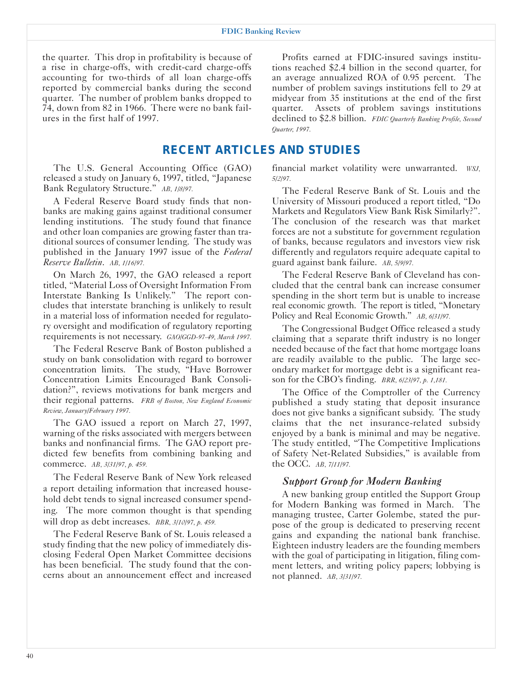#### FDIC Banking Review

the quarter. This drop in profitability is because of a rise in charge-offs, with credit-card charge-offs accounting for two-thirds of all loan charge-offs reported by commercial banks during the second quarter. The number of problem banks dropped to 74, down from 82 in 1966. There were no bank failures in the first half of 1997.

Profits earned at FDIC-insured savings institutions reached \$2.4 billion in the second quarter, for an average annualized ROA of 0.95 percent. The number of problem savings institutions fell to 29 at midyear from 35 institutions at the end of the first quarter. Assets of problem savings institutions declined to \$2.8 billion. *FDIC Quarterly Banking Profile, Second Quarter, 1997.* 

## *RECENT ARTICLES AND STUDIES*

The U.S. General Accounting Office (GAO) released a study on January 6, 1997, titled, "Japanese Bank Regulatory Structure." *AB, 1/8/97.* 

A Federal Reserve Board study finds that nonbanks are making gains against traditional consumer lending institutions. The study found that finance and other loan companies are growing faster than traditional sources of consumer lending. The study was published in the January 1997 issue of the *Federal Reserve Bulletin*. *AB, 1/16/97.* 

On March 26, 1997, the GAO released a report titled, "Material Loss of Oversight Information From Interstate Banking Is Unlikely." The report concludes that interstate branching is unlikely to result in a material loss of information needed for regulatory oversight and modification of regulatory reporting requirements is not necessary. *GAO/GGD-97-49, March 1997.* 

The Federal Reserve Bank of Boston published a study on bank consolidation with regard to borrower concentration limits. The study, "Have Borrower Concentration Limits Encouraged Bank Consolidation?", reviews motivations for bank mergers and their regional patterns. *FRB of Boston, New England Economic Review, January/February 1997.* 

The GAO issued a report on March 27, 1997, warning of the risks associated with mergers between banks and nonfinancial firms. The GAO report predicted few benefits from combining banking and commerce. *AB, 3/31/97, p. 459.* 

The Federal Reserve Bank of New York released a report detailing information that increased household debt tends to signal increased consumer spending. The more common thought is that spending will drop as debt increases. *BBR, 3/10/97, p. 459.* 

The Federal Reserve Bank of St. Louis released a study finding that the new policy of immediately disclosing Federal Open Market Committee decisions has been beneficial. The study found that the concerns about an announcement effect and increased

financial market volatility were unwarranted. *WSJ, 5/2/97.* 

The Federal Reserve Bank of St. Louis and the University of Missouri produced a report titled, "Do Markets and Regulators View Bank Risk Similarly?". The conclusion of the research was that market forces are not a substitute for government regulation of banks, because regulators and investors view risk differently and regulators require adequate capital to guard against bank failure. *AB, 5/9/97.* 

The Federal Reserve Bank of Cleveland has concluded that the central bank can increase consumer spending in the short term but is unable to increase real economic growth. The report is titled, "Monetary Policy and Real Economic Growth." *AB, 6/31/97.* 

The Congressional Budget Office released a study claiming that a separate thrift industry is no longer needed because of the fact that home mortgage loans are readily available to the public. The large secondary market for mortgage debt is a significant reason for the CBO's finding. *BRR, 6/23/97, p. 1,181.* 

The Office of the Comptroller of the Currency published a study stating that deposit insurance does not give banks a significant subsidy. The study claims that the net insurance-related subsidy enjoyed by a bank is minimal and may be negative. The study entitled, "The Competitive Implications of Safety Net-Related Subsidies," is available from the OCC. *AB, 7/11/97.* 

#### *Support Group for Modern Banking*

A new banking group entitled the Support Group for Modern Banking was formed in March. The managing trustee, Carter Golembe, stated the purpose of the group is dedicated to preserving recent gains and expanding the national bank franchise. Eighteen industry leaders are the founding members with the goal of participating in litigation, filing comment letters, and writing policy papers; lobbying is not planned. *AB, 3/31/97.*